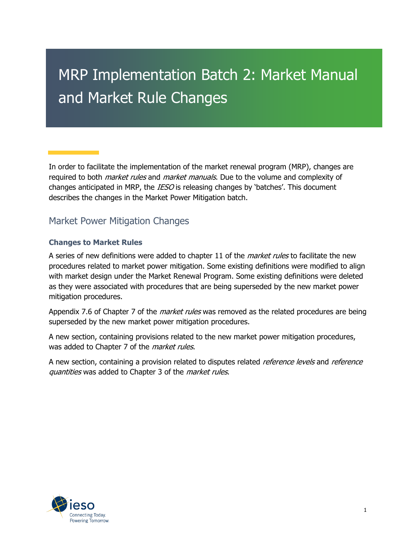# MRP Implementation Batch 2: Market Manual and Market Rule Changes

In order to facilitate the implementation of the market renewal program (MRP), changes are required to both *market rules* and *market manuals*. Due to the volume and complexity of changes anticipated in MRP, the *IESO* is releasing changes by 'batches'. This document describes the changes in the Market Power Mitigation batch.

# Market Power Mitigation Changes

#### **Changes to Market Rules**

A series of new definitions were added to chapter 11 of the *market rules* to facilitate the new procedures related to market power mitigation. Some existing definitions were modified to align with market design under the Market Renewal Program. Some existing definitions were deleted as they were associated with procedures that are being superseded by the new market power mitigation procedures.

Appendix 7.6 of Chapter 7 of the *market rules* was removed as the related procedures are being superseded by the new market power mitigation procedures.

A new section, containing provisions related to the new market power mitigation procedures, was added to Chapter 7 of the *market rules*.

A new section, containing a provision related to disputes related *reference levels* and *reference* quantities was added to Chapter 3 of the *market rules*.

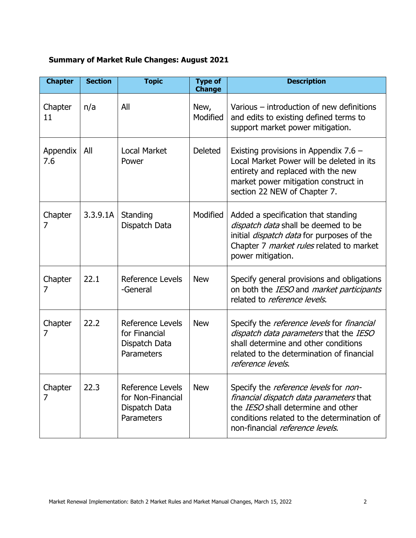## **Summary of Market Rule Changes: August 2021**

| <b>Chapter</b>  | <b>Section</b> | <b>Topic</b>                                                                | <b>Type of</b><br><b>Change</b> | <b>Description</b>                                                                                                                                                                                                           |
|-----------------|----------------|-----------------------------------------------------------------------------|---------------------------------|------------------------------------------------------------------------------------------------------------------------------------------------------------------------------------------------------------------------------|
| Chapter<br>11   | n/a            | All                                                                         | New,<br>Modified                | Various – introduction of new definitions<br>and edits to existing defined terms to<br>support market power mitigation.                                                                                                      |
| Appendix<br>7.6 | All            | <b>Local Market</b><br>Power                                                | <b>Deleted</b>                  | Existing provisions in Appendix $7.6 -$<br>Local Market Power will be deleted in its<br>entirety and replaced with the new<br>market power mitigation construct in<br>section 22 NEW of Chapter 7.                           |
| Chapter<br>7    | 3.3.9.1A       | Standing<br>Dispatch Data                                                   | Modified                        | Added a specification that standing<br>dispatch data shall be deemed to be<br>initial <i>dispatch data</i> for purposes of the<br>Chapter 7 market rules related to market<br>power mitigation.                              |
| Chapter<br>7    | 22.1           | Reference Levels<br>-General                                                | <b>New</b>                      | Specify general provisions and obligations<br>on both the IESO and market participants<br>related to <i>reference levels</i> .                                                                                               |
| Chapter<br>7    | 22.2           | Reference Levels<br>for Financial<br>Dispatch Data<br>Parameters            | <b>New</b>                      | Specify the <i>reference levels</i> for <i>financial</i><br>dispatch data parameters that the IESO<br>shall determine and other conditions<br>related to the determination of financial<br>reference levels.                 |
| Chapter<br>7    | 22.3           | <b>Reference Levels</b><br>for Non-Financial<br>Dispatch Data<br>Parameters | <b>New</b>                      | Specify the <i>reference levels</i> for <i>non-</i><br>financial dispatch data parameters that<br>the <i>IESO</i> shall determine and other<br>conditions related to the determination of<br>non-financial reference levels. |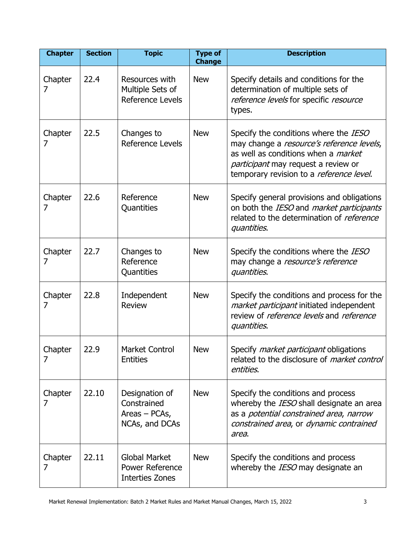| <b>Chapter</b> | <b>Section</b> | <b>Topic</b>                                                       | <b>Type of</b><br><b>Change</b> | <b>Description</b>                                                                                                                                                                                                  |
|----------------|----------------|--------------------------------------------------------------------|---------------------------------|---------------------------------------------------------------------------------------------------------------------------------------------------------------------------------------------------------------------|
| Chapter<br>7   | 22.4           | Resources with<br>Multiple Sets of<br><b>Reference Levels</b>      | <b>New</b>                      | Specify details and conditions for the<br>determination of multiple sets of<br>reference levels for specific resource<br>types.                                                                                     |
| Chapter<br>7   | 22.5           | Changes to<br>Reference Levels                                     | <b>New</b>                      | Specify the conditions where the IESO<br>may change a resource's reference levels,<br>as well as conditions when a <i>market</i><br>participant may request a review or<br>temporary revision to a reference level. |
| Chapter<br>7   | 22.6           | Reference<br>Quantities                                            | <b>New</b>                      | Specify general provisions and obligations<br>on both the IESO and market participants<br>related to the determination of reference<br>quantities.                                                                  |
| Chapter<br>7   | 22.7           | Changes to<br>Reference<br>Quantities                              | <b>New</b>                      | Specify the conditions where the IESO<br>may change a resource's reference<br>quantities.                                                                                                                           |
| Chapter<br>7   | 22.8           | Independent<br><b>Review</b>                                       | <b>New</b>                      | Specify the conditions and process for the<br>market participant initiated independent<br>review of reference levels and reference<br>quantities.                                                                   |
| Chapter<br>7   | 22.9           | <b>Market Control</b><br><b>Entities</b>                           | <b>New</b>                      | Specify <i>market participant</i> obligations<br>related to the disclosure of <i>market control</i><br>entities.                                                                                                    |
| Chapter<br>7   | 22.10          | Designation of<br>Constrained<br>Areas $-$ PCAs,<br>NCAs, and DCAs | <b>New</b>                      | Specify the conditions and process<br>whereby the IESO shall designate an area<br>as a potential constrained area, narrow<br>constrained area, or dynamic contrained<br>area.                                       |
| Chapter<br>7   | 22.11          | <b>Global Market</b><br><b>Power Reference</b><br>Interties Zones  | <b>New</b>                      | Specify the conditions and process<br>whereby the IESO may designate an                                                                                                                                             |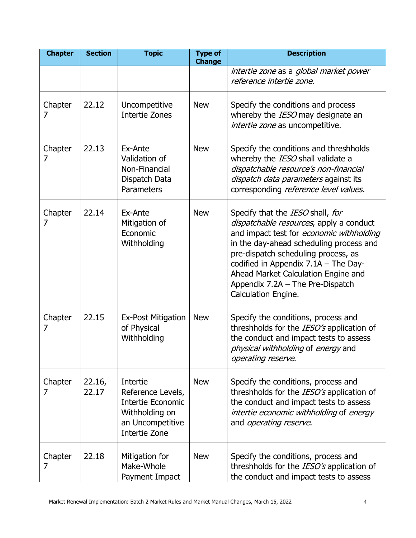| <b>Chapter</b> | <b>Section</b>  | <b>Topic</b>                                                                                                            | <b>Type of</b><br><b>Change</b> | <b>Description</b>                                                                                                                                                                                                                                                                                                                                    |
|----------------|-----------------|-------------------------------------------------------------------------------------------------------------------------|---------------------------------|-------------------------------------------------------------------------------------------------------------------------------------------------------------------------------------------------------------------------------------------------------------------------------------------------------------------------------------------------------|
|                |                 |                                                                                                                         |                                 | intertie zone as a global market power<br>reference intertie zone.                                                                                                                                                                                                                                                                                    |
| Chapter<br>7   | 22.12           | Uncompetitive<br><b>Intertie Zones</b>                                                                                  | <b>New</b>                      | Specify the conditions and process<br>whereby the IESO may designate an<br>intertie zone as uncompetitive.                                                                                                                                                                                                                                            |
| Chapter<br>7   | 22.13           | Ex-Ante<br>Validation of<br>Non-Financial<br>Dispatch Data<br>Parameters                                                | <b>New</b>                      | Specify the conditions and threshholds<br>whereby the IESO shall validate a<br>dispatchable resource's non-financial<br>dispatch data parameters against its<br>corresponding reference level values.                                                                                                                                                 |
| Chapter<br>7   | 22.14           | Ex-Ante<br>Mitigation of<br>Economic<br>Withholding                                                                     | <b>New</b>                      | Specify that the IESO shall, for<br>dispatchable resources, apply a conduct<br>and impact test for economic withholding<br>in the day-ahead scheduling process and<br>pre-dispatch scheduling process, as<br>codified in Appendix $7.1A$ – The Day-<br>Ahead Market Calculation Engine and<br>Appendix 7.2A - The Pre-Dispatch<br>Calculation Engine. |
| Chapter<br>7   | 22.15           | <b>Ex-Post Mitigation</b><br>of Physical<br>Withholding                                                                 | <b>New</b>                      | Specify the conditions, process and<br>threshholds for the IESO's application of<br>the conduct and impact tests to assess<br>physical withholding of energy and<br>operating reserve.                                                                                                                                                                |
| Chapter<br>7   | 22.16,<br>22.17 | Intertie<br>Reference Levels,<br><b>Intertie Economic</b><br>Withholding on<br>an Uncompetitive<br><b>Intertie Zone</b> | <b>New</b>                      | Specify the conditions, process and<br>threshholds for the IESO's application of<br>the conduct and impact tests to assess<br>intertie economic withholding of energy<br>and <i>operating reserve</i> .                                                                                                                                               |
| Chapter<br>7   | 22.18           | Mitigation for<br>Make-Whole<br>Payment Impact                                                                          | <b>New</b>                      | Specify the conditions, process and<br>threshholds for the IESO's application of<br>the conduct and impact tests to assess                                                                                                                                                                                                                            |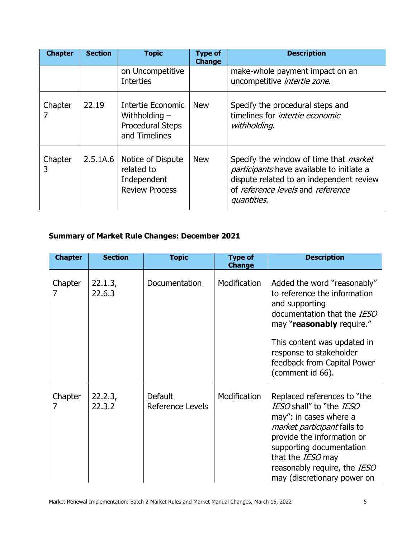| <b>Chapter</b> | <b>Section</b> | <b>Topic</b>                                                                     | <b>Type of</b><br><b>Change</b> | <b>Description</b>                                                                                                                                                                                |
|----------------|----------------|----------------------------------------------------------------------------------|---------------------------------|---------------------------------------------------------------------------------------------------------------------------------------------------------------------------------------------------|
|                |                | on Uncompetitive<br><b>Interties</b>                                             |                                 | make-whole payment impact on an<br>uncompetitive <i>intertie zone</i> .                                                                                                                           |
| Chapter        | 22.19          | Intertie Economic<br>Withholding $-$<br><b>Procedural Steps</b><br>and Timelines | <b>New</b>                      | Specify the procedural steps and<br>timelines for <i>intertie economic</i><br>withholding.                                                                                                        |
| Chapter<br>3   | 2.5.1A.6       | Notice of Dispute<br>related to<br>Independent<br><b>Review Process</b>          | <b>New</b>                      | Specify the window of time that <i>market</i><br><i>participants</i> have available to initiate a<br>dispute related to an independent review<br>of reference levels and reference<br>quantities. |

# **Summary of Market Rule Changes: December 2021**

| <b>Chapter</b> | <b>Section</b>    | <b>Topic</b>                       | <b>Type of</b><br><b>Change</b> | <b>Description</b>                                                                                                                                                                                                                                                           |
|----------------|-------------------|------------------------------------|---------------------------------|------------------------------------------------------------------------------------------------------------------------------------------------------------------------------------------------------------------------------------------------------------------------------|
| Chapter        | 22.1.3,<br>22.6.3 | Documentation                      | Modification                    | Added the word "reasonably"<br>to reference the information<br>and supporting<br>documentation that the IESO<br>may "reasonably require."<br>This content was updated in<br>response to stakeholder<br>feedback from Capital Power<br>(comment id 66).                       |
| Chapter<br>7   | 22.2.3,<br>22.3.2 | <b>Default</b><br>Reference Levels | Modification                    | Replaced references to "the<br>IESO shall" to "the IESO<br>may": in cases where a<br><i>market participant</i> fails to<br>provide the information or<br>supporting documentation<br>that the <i>IESO</i> may<br>reasonably require, the IESO<br>may (discretionary power on |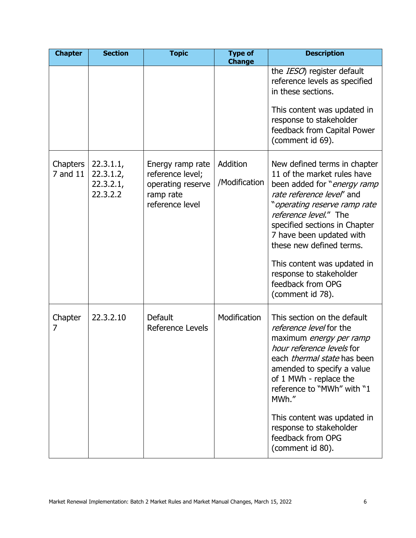| <b>Chapter</b>       | <b>Section</b>                                  | <b>Topic</b>                                                                              | <b>Type of</b><br><b>Change</b> | <b>Description</b>                                                                                                                                                                                                                                                                                                                                                           |
|----------------------|-------------------------------------------------|-------------------------------------------------------------------------------------------|---------------------------------|------------------------------------------------------------------------------------------------------------------------------------------------------------------------------------------------------------------------------------------------------------------------------------------------------------------------------------------------------------------------------|
|                      |                                                 |                                                                                           |                                 | the <i>IESO</i> ) register default<br>reference levels as specified<br>in these sections.<br>This content was updated in                                                                                                                                                                                                                                                     |
|                      |                                                 |                                                                                           |                                 | response to stakeholder<br>feedback from Capital Power<br>(comment id 69).                                                                                                                                                                                                                                                                                                   |
| Chapters<br>7 and 11 | 22.3.1.1,<br>22.3.1.2,<br>22.3.2.1,<br>22.3.2.2 | Energy ramp rate<br>reference level;<br>operating reserve<br>ramp rate<br>reference level | Addition<br>/Modification       | New defined terms in chapter<br>11 of the market rules have<br>been added for "energy ramp<br>rate reference level' and<br>"operating reserve ramp rate<br>reference level." The<br>specified sections in Chapter<br>7 have been updated with<br>these new defined terms.<br>This content was updated in<br>response to stakeholder<br>feedback from OPG<br>(comment id 78). |
| Chapter<br>7         | 22.3.2.10                                       | <b>Default</b><br>Reference Levels                                                        | Modification                    | This section on the default<br>reference level for the<br>maximum energy per ramp<br>hour reference levels for<br>each <i>thermal state</i> has been<br>amended to specify a value<br>of 1 MWh - replace the<br>reference to "MWh" with "1<br>MWh."<br>This content was updated in<br>response to stakeholder<br>feedback from OPG<br>(comment id 80).                       |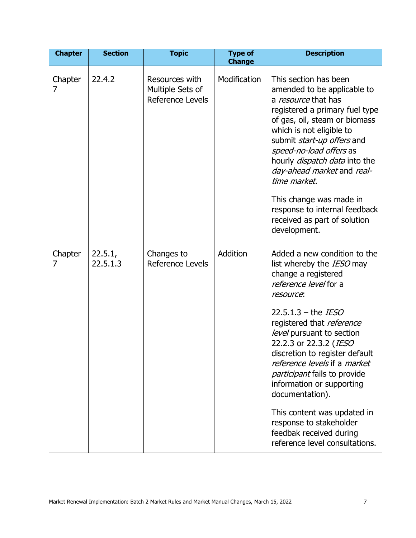| <b>Chapter</b> | <b>Section</b>      | <b>Topic</b>                                           | <b>Type of</b><br><b>Change</b> | <b>Description</b>                                                                                                                                                                                                                                                                                                                                                                                                                                                                                                       |
|----------------|---------------------|--------------------------------------------------------|---------------------------------|--------------------------------------------------------------------------------------------------------------------------------------------------------------------------------------------------------------------------------------------------------------------------------------------------------------------------------------------------------------------------------------------------------------------------------------------------------------------------------------------------------------------------|
| Chapter<br>7   | 22.4.2              | Resources with<br>Multiple Sets of<br>Reference Levels | Modification                    | This section has been<br>amended to be applicable to<br>a resource that has<br>registered a primary fuel type<br>of gas, oil, steam or biomass<br>which is not eligible to<br>submit start-up offers and<br>speed-no-load offers as<br>hourly <i>dispatch data</i> into the<br>day-ahead market and real-<br>time market.<br>This change was made in<br>response to internal feedback<br>received as part of solution<br>development.                                                                                    |
| Chapter<br>7   | 22.5.1,<br>22.5.1.3 | Changes to<br>Reference Levels                         | Addition                        | Added a new condition to the<br>list whereby the IESO may<br>change a registered<br>reference level for a<br>resource:<br>22.5.1.3 – the <i>IESO</i><br>registered that reference<br>level pursuant to section<br>22.2.3 or 22.3.2 (IESO<br>discretion to register default<br>reference levels if a market<br><i>participant</i> fails to provide<br>information or supporting<br>documentation).<br>This content was updated in<br>response to stakeholder<br>feedbak received during<br>reference level consultations. |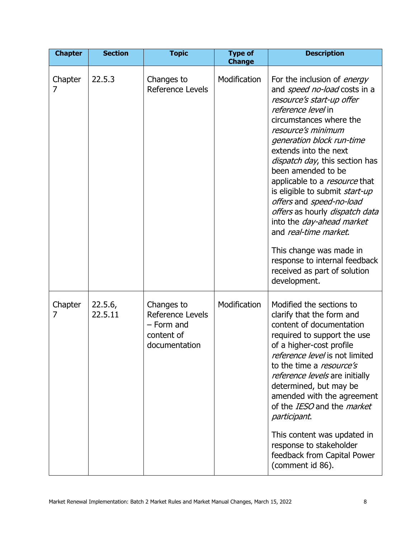| <b>Chapter</b> | <b>Section</b>     | <b>Topic</b>                                                                | <b>Type of</b><br><b>Change</b> | <b>Description</b>                                                                                                                                                                                                                                                                                                                                                                                                                                                                                                                                                                                           |
|----------------|--------------------|-----------------------------------------------------------------------------|---------------------------------|--------------------------------------------------------------------------------------------------------------------------------------------------------------------------------------------------------------------------------------------------------------------------------------------------------------------------------------------------------------------------------------------------------------------------------------------------------------------------------------------------------------------------------------------------------------------------------------------------------------|
| Chapter<br>7   | 22.5.3             | Changes to<br>Reference Levels                                              | Modification                    | For the inclusion of <i>energy</i><br>and speed no-load costs in a<br>resource's start-up offer<br><i>reference level</i> in<br>circumstances where the<br>resource's minimum<br>generation block run-time<br>extends into the next<br>dispatch day, this section has<br>been amended to be<br>applicable to a <i>resource</i> that<br>is eligible to submit start-up<br>offers and speed-no-load<br>offers as hourly dispatch data<br>into the <i>day-ahead market</i><br>and real-time market.<br>This change was made in<br>response to internal feedback<br>received as part of solution<br>development. |
| Chapter<br>7   | 22.5.6,<br>22.5.11 | Changes to<br>Reference Levels<br>- Form and<br>content of<br>documentation | Modification                    | Modified the sections to<br>clarify that the form and<br>content of documentation<br>required to support the use<br>of a higher-cost profile<br>reference level is not limited<br>to the time a <i>resource's</i><br>reference levels are initially<br>determined, but may be<br>amended with the agreement<br>of the IESO and the market<br>participant.<br>This content was updated in<br>response to stakeholder<br>feedback from Capital Power<br>(comment id 86).                                                                                                                                       |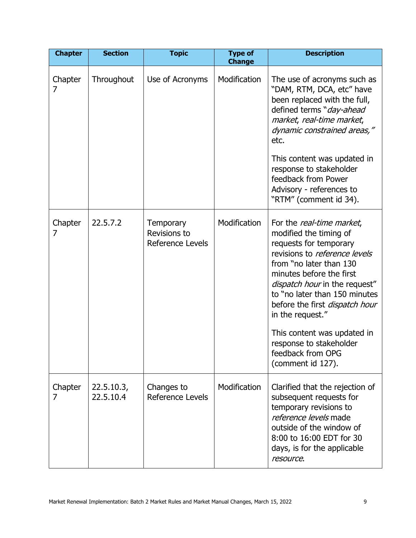| <b>Chapter</b> | <b>Section</b>          | <b>Topic</b>                                  | <b>Type of</b><br><b>Change</b> | <b>Description</b>                                                                                                                                                                                                                                                                                                                         |
|----------------|-------------------------|-----------------------------------------------|---------------------------------|--------------------------------------------------------------------------------------------------------------------------------------------------------------------------------------------------------------------------------------------------------------------------------------------------------------------------------------------|
| Chapter<br>7   | Throughout              | Use of Acronyms                               | Modification                    | The use of acronyms such as<br>"DAM, RTM, DCA, etc" have<br>been replaced with the full,<br>defined terms "day-ahead<br>market, real-time market,<br>dynamic constrained areas,"<br>etc.<br>This content was updated in<br>response to stakeholder<br>feedback from Power<br>Advisory - references to<br>"RTM" (comment id 34).            |
| Chapter<br>7   | 22.5.7.2                | Temporary<br>Revisions to<br>Reference Levels | Modification                    | For the real-time market,<br>modified the timing of<br>requests for temporary<br>revisions to <i>reference levels</i><br>from "no later than 130<br>minutes before the first<br>dispatch hour in the request"<br>to "no later than 150 minutes<br>before the first <i>dispatch hour</i><br>in the request."<br>This content was updated in |
|                |                         |                                               |                                 | response to stakeholder<br>feedback from OPG<br>(comment id 127).                                                                                                                                                                                                                                                                          |
| Chapter<br>7   | 22.5.10.3,<br>22.5.10.4 | Changes to<br>Reference Levels                | Modification                    | Clarified that the rejection of<br>subsequent requests for<br>temporary revisions to<br>reference levels made<br>outside of the window of<br>8:00 to 16:00 EDT for 30<br>days, is for the applicable<br>resource.                                                                                                                          |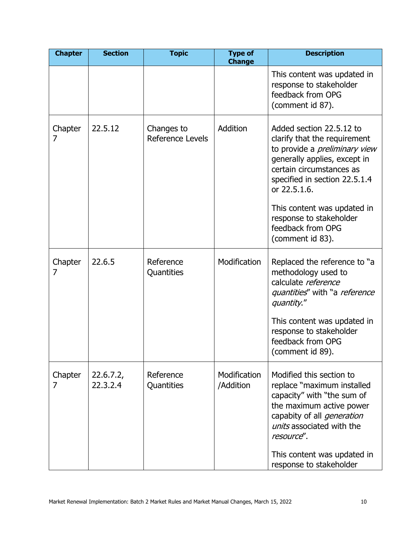| <b>Chapter</b> | <b>Section</b>        | <b>Topic</b>                   | <b>Type of</b><br><b>Change</b> | <b>Description</b>                                                                                                                                                                                                                                                                                               |
|----------------|-----------------------|--------------------------------|---------------------------------|------------------------------------------------------------------------------------------------------------------------------------------------------------------------------------------------------------------------------------------------------------------------------------------------------------------|
|                |                       |                                |                                 | This content was updated in<br>response to stakeholder<br>feedback from OPG<br>(comment id 87).                                                                                                                                                                                                                  |
| Chapter<br>7   | 22.5.12               | Changes to<br>Reference Levels | Addition                        | Added section 22.5.12 to<br>clarify that the requirement<br>to provide a <i>preliminary view</i><br>generally applies, except in<br>certain circumstances as<br>specified in section 22.5.1.4<br>or 22.5.1.6.<br>This content was updated in<br>response to stakeholder<br>feedback from OPG<br>(comment id 83). |
| Chapter<br>7   | 22.6.5                | Reference<br>Quantities        | Modification                    | Replaced the reference to "a<br>methodology used to<br>calculate reference<br>quantities" with "a reference<br>quantity."<br>This content was updated in<br>response to stakeholder<br>feedback from OPG<br>(comment id 89).                                                                                     |
| Chapter<br>7   | 22.6.7.2,<br>22.3.2.4 | Reference<br>Quantities        | Modification<br>/Addition       | Modified this section to<br>replace "maximum installed<br>capacity" with "the sum of<br>the maximum active power<br>capabity of all <i>generation</i><br>units associated with the<br>resource".<br>This content was updated in<br>response to stakeholder                                                       |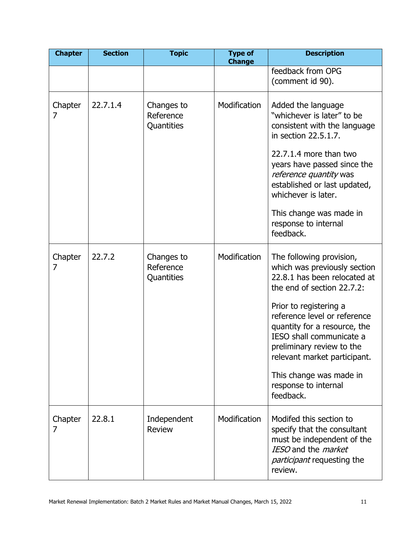| <b>Chapter</b> | <b>Section</b> | <b>Topic</b>                          | <b>Type of</b><br><b>Change</b> | <b>Description</b>                                                                                                                                                                                                                                                                                    |
|----------------|----------------|---------------------------------------|---------------------------------|-------------------------------------------------------------------------------------------------------------------------------------------------------------------------------------------------------------------------------------------------------------------------------------------------------|
|                |                |                                       |                                 | feedback from OPG<br>(comment id 90).                                                                                                                                                                                                                                                                 |
| Chapter<br>7   | 22.7.1.4       | Changes to<br>Reference<br>Quantities | Modification                    | Added the language<br>"whichever is later" to be<br>consistent with the language<br>in section 22.5.1.7.<br>22.7.1.4 more than two<br>years have passed since the<br>reference quantity was<br>established or last updated,<br>whichever is later.<br>This change was made in<br>response to internal |
|                |                |                                       |                                 | feedback.                                                                                                                                                                                                                                                                                             |
| Chapter<br>7   | 22.7.2         | Changes to<br>Reference<br>Quantities | Modification                    | The following provision,<br>which was previously section<br>22.8.1 has been relocated at<br>the end of section 22.7.2:<br>Prior to registering a<br>reference level or reference<br>quantity for a resource, the<br>IESO shall communicate a<br>preliminary review to the                             |
|                |                |                                       |                                 | relevant market participant.<br>This change was made in<br>response to internal<br>feedback.                                                                                                                                                                                                          |
| Chapter<br>7   | 22.8.1         | Independent<br><b>Review</b>          | Modification                    | Modifed this section to<br>specify that the consultant<br>must be independent of the<br>IESO and the <i>market</i><br><i>participant</i> requesting the<br>review.                                                                                                                                    |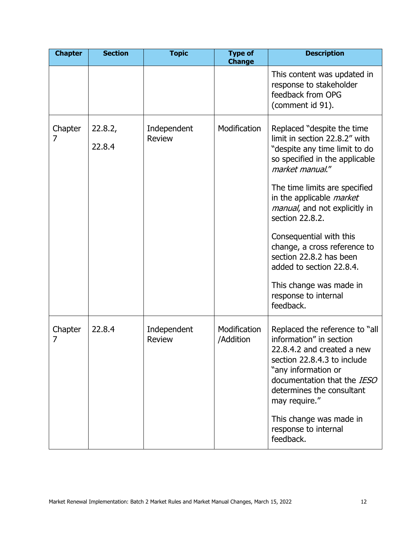| <b>Chapter</b> | <b>Section</b>    | <b>Topic</b>                 | <b>Type of</b><br><b>Change</b> | <b>Description</b>                                                                                                                                                                                                         |
|----------------|-------------------|------------------------------|---------------------------------|----------------------------------------------------------------------------------------------------------------------------------------------------------------------------------------------------------------------------|
|                |                   |                              |                                 | This content was updated in<br>response to stakeholder<br>feedback from OPG<br>(comment id 91).                                                                                                                            |
| Chapter<br>7   | 22.8.2,<br>22.8.4 | Independent<br><b>Review</b> | Modification                    | Replaced "despite the time"<br>limit in section 22.8.2" with<br>"despite any time limit to do<br>so specified in the applicable<br>market manual."                                                                         |
|                |                   |                              |                                 | The time limits are specified<br>in the applicable <i>market</i><br>manual, and not explicitly in<br>section 22.8.2.                                                                                                       |
|                |                   |                              |                                 | Consequential with this<br>change, a cross reference to<br>section 22.8.2 has been<br>added to section 22.8.4.                                                                                                             |
|                |                   |                              |                                 | This change was made in<br>response to internal<br>feedback.                                                                                                                                                               |
| Chapter<br>7   | 22.8.4            | Independent<br><b>Review</b> | Modification<br>/Addition       | Replaced the reference to "all<br>information" in section<br>22.8.4.2 and created a new<br>section 22.8.4.3 to include<br>"any information or<br>documentation that the IESO<br>determines the consultant<br>may require." |
|                |                   |                              |                                 | This change was made in<br>response to internal<br>feedback.                                                                                                                                                               |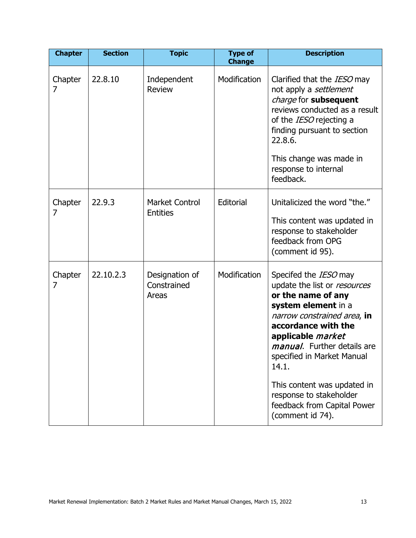| <b>Chapter</b> | <b>Section</b> | <b>Topic</b>                             | <b>Type of</b><br><b>Change</b> | <b>Description</b>                                                                                                                                                                                                                                                                                                                                                       |
|----------------|----------------|------------------------------------------|---------------------------------|--------------------------------------------------------------------------------------------------------------------------------------------------------------------------------------------------------------------------------------------------------------------------------------------------------------------------------------------------------------------------|
| Chapter<br>7   | 22,8,10        | Independent<br><b>Review</b>             | Modification                    | Clarified that the <i>IESO</i> may<br>not apply a settlement<br>charge for subsequent<br>reviews conducted as a result<br>of the IESO rejecting a<br>finding pursuant to section<br>22.8.6.<br>This change was made in<br>response to internal<br>feedback.                                                                                                              |
| Chapter<br>7   | 22.9.3         | <b>Market Control</b><br><b>Entities</b> | Editorial                       | Unitalicized the word "the."<br>This content was updated in<br>response to stakeholder<br>feedback from OPG<br>(comment id 95).                                                                                                                                                                                                                                          |
| Chapter<br>7   | 22.10.2.3      | Designation of<br>Constrained<br>Areas   | Modification                    | Specifed the IESO may<br>update the list or resources<br>or the name of any<br>system element in a<br>narrow constrained area, in<br>accordance with the<br>applicable market<br><i>manual</i> . Further details are<br>specified in Market Manual<br>14.1.<br>This content was updated in<br>response to stakeholder<br>feedback from Capital Power<br>(comment id 74). |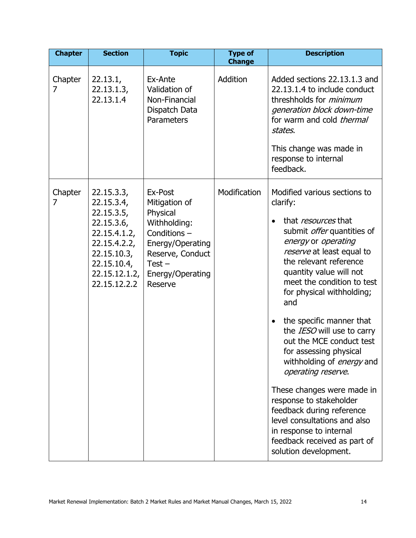| <b>Chapter</b> | <b>Section</b>                                                                                                                                     | <b>Topic</b>                                                                                                                                           | <b>Type of</b><br><b>Change</b> | <b>Description</b>                                                                                                                                                                                                                                                                                                                                                                                                                                                                                                                                                                                                                                                               |
|----------------|----------------------------------------------------------------------------------------------------------------------------------------------------|--------------------------------------------------------------------------------------------------------------------------------------------------------|---------------------------------|----------------------------------------------------------------------------------------------------------------------------------------------------------------------------------------------------------------------------------------------------------------------------------------------------------------------------------------------------------------------------------------------------------------------------------------------------------------------------------------------------------------------------------------------------------------------------------------------------------------------------------------------------------------------------------|
| Chapter<br>7   | 22.13.1,<br>22.13.1.3,<br>22.13.1.4                                                                                                                | Ex-Ante<br>Validation of<br>Non-Financial<br>Dispatch Data<br>Parameters                                                                               | Addition                        | Added sections 22.13.1.3 and<br>22.13.1.4 to include conduct<br>threshholds for <i>minimum</i><br>generation block down-time<br>for warm and cold <i>thermal</i><br>states.<br>This change was made in<br>response to internal<br>feedback.                                                                                                                                                                                                                                                                                                                                                                                                                                      |
| Chapter<br>7   | 22.15.3.3,<br>22.15.3.4,<br>22.15.3.5,<br>22.15.3.6<br>22.15.4.1.2,<br>22.15.4.2.2,<br>22.15.10.3,<br>22.15.10.4,<br>22.15.12.1.2,<br>22.15.12.2.2 | Ex-Post<br>Mitigation of<br>Physical<br>Withholding:<br>Conditions-<br>Energy/Operating<br>Reserve, Conduct<br>$Test -$<br>Energy/Operating<br>Reserve | Modification                    | Modified various sections to<br>clarify:<br>that <i>resources</i> that<br>submit offer quantities of<br>energy or operating<br>reserve at least equal to<br>the relevant reference<br>quantity value will not<br>meet the condition to test<br>for physical withholding;<br>and<br>the specific manner that<br>$\bullet$<br>the IESO will use to carry<br>out the MCE conduct test<br>for assessing physical<br>withholding of <i>energy</i> and<br>operating reserve.<br>These changes were made in<br>response to stakeholder<br>feedback during reference<br>level consultations and also<br>in response to internal<br>feedback received as part of<br>solution development. |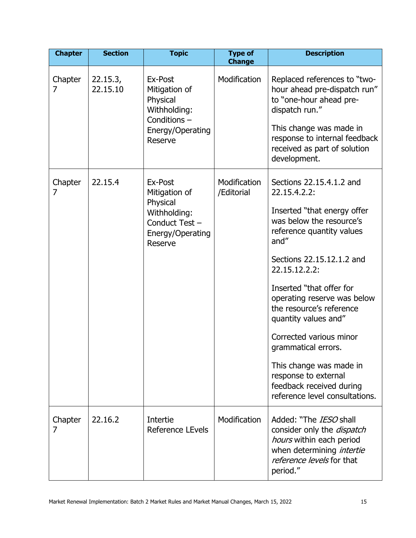| <b>Chapter</b> | <b>Section</b>       | <b>Topic</b>                                                                                          | <b>Type of</b><br><b>Change</b> | <b>Description</b>                                                                                                                                                                                                                                                                                                                                                                                                                                                       |
|----------------|----------------------|-------------------------------------------------------------------------------------------------------|---------------------------------|--------------------------------------------------------------------------------------------------------------------------------------------------------------------------------------------------------------------------------------------------------------------------------------------------------------------------------------------------------------------------------------------------------------------------------------------------------------------------|
| Chapter<br>7   | 22.15.3,<br>22.15.10 | Ex-Post<br>Mitigation of<br>Physical<br>Withholding:<br>Conditions-<br>Energy/Operating<br>Reserve    | Modification                    | Replaced references to "two-<br>hour ahead pre-dispatch run"<br>to "one-hour ahead pre-<br>dispatch run."<br>This change was made in<br>response to internal feedback<br>received as part of solution<br>development.                                                                                                                                                                                                                                                    |
| Chapter<br>7   | 22.15.4              | Ex-Post<br>Mitigation of<br>Physical<br>Withholding:<br>Conduct Test -<br>Energy/Operating<br>Reserve | Modification<br>/Editorial      | Sections 22.15.4.1.2 and<br>22.15.4.2.2:<br>Inserted "that energy offer<br>was below the resource's<br>reference quantity values<br>and"<br>Sections 22.15.12.1.2 and<br>22.15.12.2.2:<br>Inserted "that offer for<br>operating reserve was below<br>the resource's reference<br>quantity values and"<br>Corrected various minor<br>grammatical errors.<br>This change was made in<br>response to external<br>feedback received during<br>reference level consultations. |
| Chapter<br>7   | 22.16.2              | Intertie<br>Reference LEvels                                                                          | Modification                    | Added: "The <i>IESO</i> shall<br>consider only the <i>dispatch</i><br>hours within each period<br>when determining intertie<br>reference levels for that<br>period."                                                                                                                                                                                                                                                                                                     |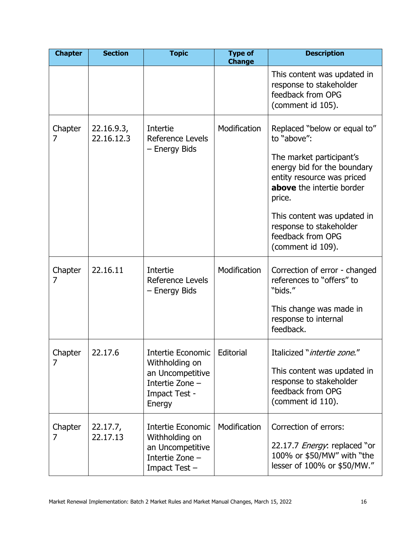| <b>Chapter</b> | <b>Section</b>           | <b>Topic</b>                                                                                                 | <b>Type of</b><br><b>Change</b> | <b>Description</b>                                                                                                                                                          |
|----------------|--------------------------|--------------------------------------------------------------------------------------------------------------|---------------------------------|-----------------------------------------------------------------------------------------------------------------------------------------------------------------------------|
|                |                          |                                                                                                              |                                 | This content was updated in<br>response to stakeholder<br>feedback from OPG<br>(comment id 105).                                                                            |
| Chapter<br>7   | 22.16.9.3,<br>22.16.12.3 | Intertie<br>Reference Levels<br>- Energy Bids                                                                | Modification                    | Replaced "below or equal to"<br>to "above":<br>The market participant's<br>energy bid for the boundary<br>entity resource was priced<br>above the intertie border<br>price. |
|                |                          |                                                                                                              |                                 | This content was updated in<br>response to stakeholder<br>feedback from OPG<br>(comment id 109).                                                                            |
| Chapter<br>7   | 22.16.11                 | Intertie<br><b>Reference Levels</b><br>- Energy Bids                                                         | Modification                    | Correction of error - changed<br>references to "offers" to<br>"bids."<br>This change was made in<br>response to internal<br>feedback.                                       |
| Chapter<br>7   | 22.17.6                  | Intertie Economic<br>Withholding on<br>an Uncompetitive<br>Intertie Zone -<br><b>Impact Test -</b><br>Energy | Editorial                       | Italicized "intertie zone."<br>This content was updated in<br>response to stakeholder<br>feedback from OPG<br>(comment id 110).                                             |
| Chapter<br>7   | 22.17.7,<br>22.17.13     | Intertie Economic<br>Withholding on<br>an Uncompetitive<br>Intertie Zone -<br>Impact Test -                  | Modification                    | Correction of errors:<br>22.17.7 <i>Energy</i> : replaced "or<br>100% or \$50/MW" with "the<br>lesser of 100% or \$50/MW."                                                  |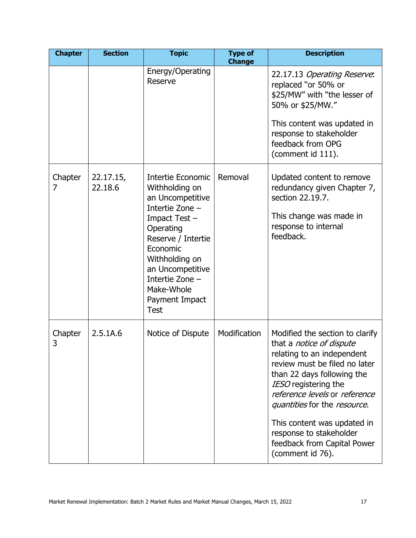| <b>Chapter</b> | <b>Section</b>       | <b>Topic</b>                                                                                                                                                                                                                                      | <b>Type of</b><br><b>Change</b> | <b>Description</b>                                                                                                                                                                                                                                                                                                                                                    |
|----------------|----------------------|---------------------------------------------------------------------------------------------------------------------------------------------------------------------------------------------------------------------------------------------------|---------------------------------|-----------------------------------------------------------------------------------------------------------------------------------------------------------------------------------------------------------------------------------------------------------------------------------------------------------------------------------------------------------------------|
|                |                      | Energy/Operating<br>Reserve                                                                                                                                                                                                                       |                                 | 22.17.13 Operating Reserve:<br>replaced "or 50% or<br>\$25/MW" with "the lesser of<br>50% or \$25/MW."<br>This content was updated in<br>response to stakeholder<br>feedback from OPG<br>(comment id 111).                                                                                                                                                            |
| Chapter<br>7   | 22.17.15,<br>22.18.6 | Intertie Economic<br>Withholding on<br>an Uncompetitive<br>Intertie Zone -<br>Impact Test-<br>Operating<br>Reserve / Intertie<br>Economic<br>Withholding on<br>an Uncompetitive<br>Intertie Zone -<br>Make-Whole<br>Payment Impact<br><b>Test</b> | Removal                         | Updated content to remove<br>redundancy given Chapter 7,<br>section 22.19.7.<br>This change was made in<br>response to internal<br>feedback.                                                                                                                                                                                                                          |
| Chapter<br>3   | 2.5.1A.6             | Notice of Dispute                                                                                                                                                                                                                                 | Modification                    | Modified the section to clarify<br>that a <i>notice of dispute</i><br>relating to an independent<br>review must be filed no later<br>than 22 days following the<br>IESO registering the<br>reference levels or reference<br>quantities for the resource.<br>This content was updated in<br>response to stakeholder<br>feedback from Capital Power<br>(comment id 76). |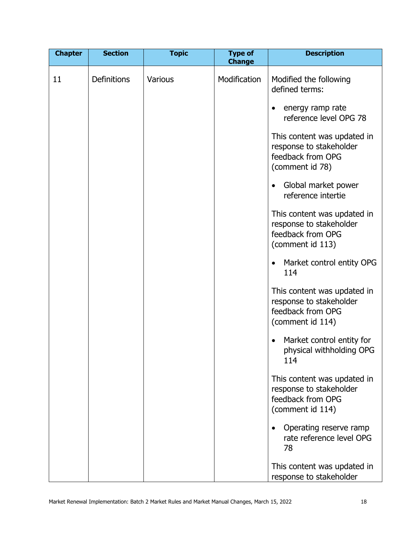| <b>Chapter</b> | <b>Section</b> | <b>Topic</b>   | <b>Type of</b><br><b>Change</b> | <b>Description</b>                                                                                                                                                         |
|----------------|----------------|----------------|---------------------------------|----------------------------------------------------------------------------------------------------------------------------------------------------------------------------|
| 11             | Definitions    | <b>Various</b> | Modification                    | Modified the following<br>defined terms:<br>energy ramp rate<br>٠<br>reference level OPG 78<br>This content was updated in<br>response to stakeholder<br>feedback from OPG |
|                |                |                |                                 | (comment id 78)<br>Global market power<br>$\bullet$                                                                                                                        |
|                |                |                |                                 | reference intertie<br>This content was updated in<br>response to stakeholder<br>feedback from OPG                                                                          |
|                |                |                |                                 | (comment id 113)<br>Market control entity OPG<br>$\bullet$<br>114                                                                                                          |
|                |                |                |                                 | This content was updated in<br>response to stakeholder<br>feedback from OPG<br>(comment id 114)                                                                            |
|                |                |                |                                 | Market control entity for<br>physical withholding OPG<br>114                                                                                                               |
|                |                |                |                                 | This content was updated in<br>response to stakeholder<br>feedback from OPG<br>(comment id 114)                                                                            |
|                |                |                |                                 | Operating reserve ramp<br>$\bullet$<br>rate reference level OPG<br>78                                                                                                      |
|                |                |                |                                 | This content was updated in<br>response to stakeholder                                                                                                                     |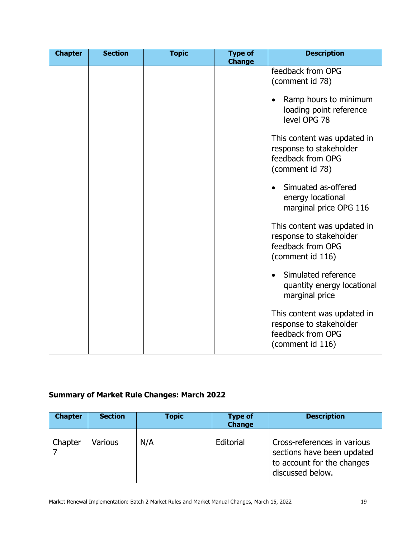| <b>Chapter</b> | <b>Section</b> | <b>Topic</b> | <b>Type of</b><br><b>Change</b> | <b>Description</b>                                                                              |
|----------------|----------------|--------------|---------------------------------|-------------------------------------------------------------------------------------------------|
|                |                |              |                                 | feedback from OPG<br>(comment id 78)                                                            |
|                |                |              |                                 | Ramp hours to minimum<br>$\bullet$<br>loading point reference<br>level OPG 78                   |
|                |                |              |                                 | This content was updated in<br>response to stakeholder<br>feedback from OPG<br>(comment id 78)  |
|                |                |              |                                 | Simuated as-offered<br>$\bullet$<br>energy locational<br>marginal price OPG 116                 |
|                |                |              |                                 | This content was updated in<br>response to stakeholder<br>feedback from OPG<br>(comment id 116) |
|                |                |              |                                 | Simulated reference<br>$\bullet$<br>quantity energy locational<br>marginal price                |
|                |                |              |                                 | This content was updated in<br>response to stakeholder<br>feedback from OPG<br>(comment id 116) |

## **Summary of Market Rule Changes: March 2022**

| <b>Chapter</b> | <b>Section</b> | <b>Topic</b> | <b>Type of</b><br><b>Change</b> | <b>Description</b>                                                                                          |
|----------------|----------------|--------------|---------------------------------|-------------------------------------------------------------------------------------------------------------|
| Chapter        | <b>Various</b> | N/A          | Editorial                       | Cross-references in various<br>sections have been updated<br>to account for the changes<br>discussed below. |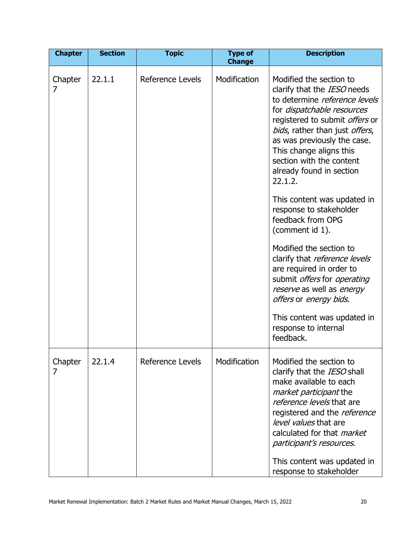| <b>Chapter</b> | <b>Section</b> | <b>Topic</b>            | <b>Type of</b><br><b>Change</b> | <b>Description</b>                                                                                                                                                                                                                                                                                                            |
|----------------|----------------|-------------------------|---------------------------------|-------------------------------------------------------------------------------------------------------------------------------------------------------------------------------------------------------------------------------------------------------------------------------------------------------------------------------|
| Chapter<br>7   | 22.1.1         | <b>Reference Levels</b> | Modification                    | Modified the section to<br>clarify that the IESO needs<br>to determine reference levels<br>for <i>dispatchable resources</i><br>registered to submit offers or<br>bids, rather than just offers,<br>as was previously the case.<br>This change aligns this<br>section with the content<br>already found in section<br>22.1.2. |
|                |                |                         |                                 | This content was updated in<br>response to stakeholder<br>feedback from OPG<br>(comment id 1).                                                                                                                                                                                                                                |
|                |                |                         |                                 | Modified the section to<br>clarify that reference levels<br>are required in order to<br>submit <i>offers</i> for <i>operating</i><br>reserve as well as energy<br>offers or energy bids.                                                                                                                                      |
|                |                |                         |                                 | This content was updated in<br>response to internal<br>feedback.                                                                                                                                                                                                                                                              |
| Chapter<br>7   | 22.1.4         | Reference Levels        | Modification                    | Modified the section to<br>clarify that the IESO shall<br>make available to each<br>market participant the<br>reference levels that are<br>registered and the reference<br>level values that are<br>calculated for that <i>market</i><br>participant's resources.<br>This content was updated in                              |
|                |                |                         |                                 | response to stakeholder                                                                                                                                                                                                                                                                                                       |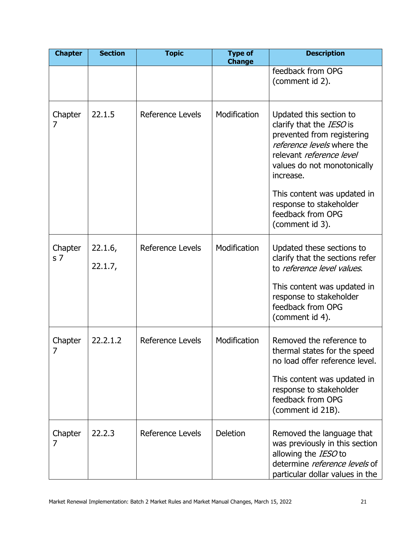| <b>Chapter</b>            | <b>Section</b>     | <b>Topic</b>            | <b>Type of</b><br><b>Change</b> | <b>Description</b>                                                                                                                                                                                                                                |
|---------------------------|--------------------|-------------------------|---------------------------------|---------------------------------------------------------------------------------------------------------------------------------------------------------------------------------------------------------------------------------------------------|
|                           |                    |                         |                                 | feedback from OPG<br>(comment id 2).                                                                                                                                                                                                              |
| Chapter<br>7              | 22.1.5             | <b>Reference Levels</b> | Modification                    | Updated this section to<br>clarify that the IESO is<br>prevented from registering<br>reference levels where the<br>relevant reference level<br>values do not monotonically<br>increase.<br>This content was updated in<br>response to stakeholder |
|                           |                    |                         |                                 | feedback from OPG<br>(comment id 3).                                                                                                                                                                                                              |
| Chapter<br>s <sub>7</sub> | 22.1.6,<br>22.1.7, | Reference Levels        | Modification                    | Updated these sections to<br>clarify that the sections refer<br>to reference level values.                                                                                                                                                        |
|                           |                    |                         |                                 | This content was updated in<br>response to stakeholder<br>feedback from OPG<br>(comment id 4).                                                                                                                                                    |
| Chapter<br>7              | 22.2.1.2           | Reference Levels        | Modification                    | Removed the reference to<br>thermal states for the speed<br>no load offer reference level.                                                                                                                                                        |
|                           |                    |                         |                                 | This content was updated in<br>response to stakeholder<br>feedback from OPG<br>(comment id 21B).                                                                                                                                                  |
| Chapter<br>7              | 22.2.3             | Reference Levels        | <b>Deletion</b>                 | Removed the language that<br>was previously in this section<br>allowing the IESO to<br>determine reference levels of<br>particular dollar values in the                                                                                           |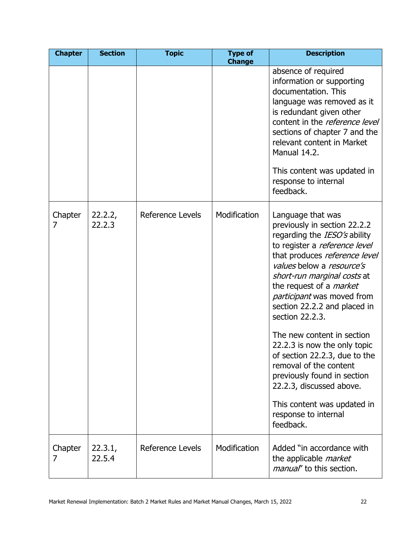| <b>Chapter</b> | <b>Section</b>    | <b>Topic</b>            | <b>Type of</b><br><b>Change</b> | <b>Description</b>                                                                                                                                                                                                                                                                                                                                                                                                                                                                                                     |
|----------------|-------------------|-------------------------|---------------------------------|------------------------------------------------------------------------------------------------------------------------------------------------------------------------------------------------------------------------------------------------------------------------------------------------------------------------------------------------------------------------------------------------------------------------------------------------------------------------------------------------------------------------|
|                |                   |                         |                                 | absence of required<br>information or supporting<br>documentation. This<br>language was removed as it<br>is redundant given other<br>content in the <i>reference level</i><br>sections of chapter 7 and the<br>relevant content in Market<br>Manual 14.2.<br>This content was updated in<br>response to internal<br>feedback.                                                                                                                                                                                          |
| Chapter<br>7   | 22.2.2,<br>22.2.3 | <b>Reference Levels</b> | Modification                    | Language that was<br>previously in section 22.2.2<br>regarding the IESO's ability<br>to register a reference level<br>that produces reference level<br>values below a resource's<br>short-run marginal costs at<br>the request of a <i>market</i><br>participant was moved from<br>section 22.2.2 and placed in<br>section 22.2.3.<br>The new content in section<br>22.2.3 is now the only topic<br>of section 22.2.3, due to the<br>removal of the content<br>previously found in section<br>22.2.3, discussed above. |
|                |                   |                         |                                 | This content was updated in<br>response to internal<br>feedback.                                                                                                                                                                                                                                                                                                                                                                                                                                                       |
| Chapter<br>7   | 22.3.1,<br>22.5.4 | Reference Levels        | Modification                    | Added "in accordance with<br>the applicable <i>market</i><br><i>manual</i> ' to this section.                                                                                                                                                                                                                                                                                                                                                                                                                          |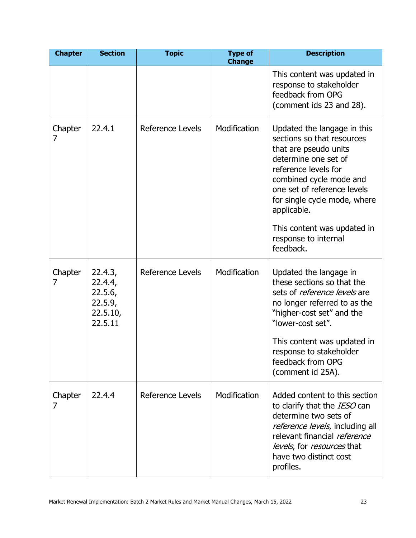| <b>Chapter</b> | <b>Section</b>                                                  | <b>Topic</b>            | <b>Type of</b><br><b>Change</b> | <b>Description</b>                                                                                                                                                                                                                                                                                              |
|----------------|-----------------------------------------------------------------|-------------------------|---------------------------------|-----------------------------------------------------------------------------------------------------------------------------------------------------------------------------------------------------------------------------------------------------------------------------------------------------------------|
|                |                                                                 |                         |                                 | This content was updated in<br>response to stakeholder<br>feedback from OPG<br>(comment ids 23 and 28).                                                                                                                                                                                                         |
| Chapter<br>7   | 22.4.1                                                          | <b>Reference Levels</b> | Modification                    | Updated the langage in this<br>sections so that resources<br>that are pseudo units<br>determine one set of<br>reference levels for<br>combined cycle mode and<br>one set of reference levels<br>for single cycle mode, where<br>applicable.<br>This content was updated in<br>response to internal<br>feedback. |
| Chapter<br>7   | 22.4.3,<br>22.4.4,<br>22.5.6,<br>22.5.9,<br>22.5.10,<br>22.5.11 | Reference Levels        | Modification                    | Updated the langage in<br>these sections so that the<br>sets of <i>reference levels</i> are<br>no longer referred to as the<br>"higher-cost set" and the<br>"lower-cost set".<br>This content was updated in<br>response to stakeholder<br>feedback from OPG<br>(comment id 25A).                               |
| Chapter<br>7   | 22.4.4                                                          | <b>Reference Levels</b> | Modification                    | Added content to this section<br>to clarify that the <i>IESO</i> can<br>determine two sets of<br>reference levels, including all<br>relevant financial reference<br>levels, for resources that<br>have two distinct cost<br>profiles.                                                                           |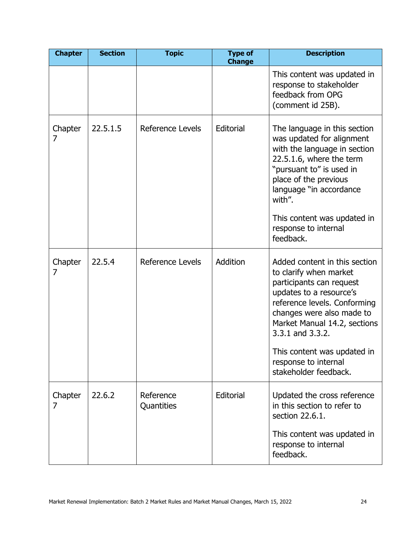| <b>Chapter</b> | <b>Section</b> | <b>Topic</b>            | <b>Type of</b><br><b>Change</b> | <b>Description</b>                                                                                                                                                                                                                                                                                              |
|----------------|----------------|-------------------------|---------------------------------|-----------------------------------------------------------------------------------------------------------------------------------------------------------------------------------------------------------------------------------------------------------------------------------------------------------------|
|                |                |                         |                                 | This content was updated in<br>response to stakeholder<br>feedback from OPG<br>(comment id 25B).                                                                                                                                                                                                                |
| Chapter<br>7   | 22.5.1.5       | <b>Reference Levels</b> | Editorial                       | The language in this section<br>was updated for alignment<br>with the language in section<br>22.5.1.6, where the term<br>"pursuant to" is used in<br>place of the previous<br>language "in accordance<br>with".                                                                                                 |
|                |                |                         |                                 | This content was updated in<br>response to internal<br>feedback.                                                                                                                                                                                                                                                |
| Chapter<br>7   | 22.5.4         | <b>Reference Levels</b> | Addition                        | Added content in this section<br>to clarify when market<br>participants can request<br>updates to a resource's<br>reference levels. Conforming<br>changes were also made to<br>Market Manual 14.2, sections<br>3.3.1 and 3.3.2.<br>This content was updated in<br>response to internal<br>stakeholder feedback. |
| Chapter<br>7   | 22.6.2         | Reference<br>Quantities | Editorial                       | Updated the cross reference<br>in this section to refer to<br>section 22.6.1.                                                                                                                                                                                                                                   |
|                |                |                         |                                 | This content was updated in<br>response to internal<br>feedback.                                                                                                                                                                                                                                                |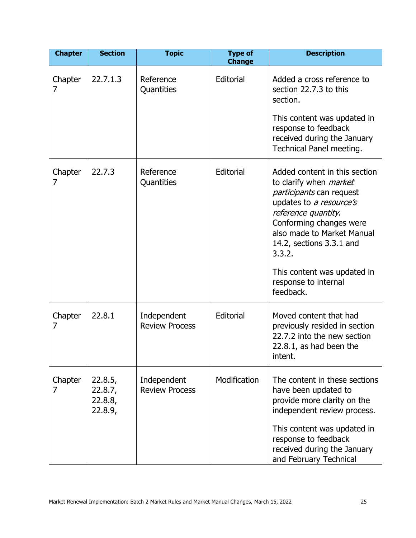| <b>Chapter</b> | <b>Section</b>                           | <b>Topic</b>                         | <b>Type of</b><br><b>Change</b> | <b>Description</b>                                                                                                                                                                                                                                                                                                     |
|----------------|------------------------------------------|--------------------------------------|---------------------------------|------------------------------------------------------------------------------------------------------------------------------------------------------------------------------------------------------------------------------------------------------------------------------------------------------------------------|
| Chapter<br>7   | 22.7.1.3                                 | Reference<br>Quantities              | Editorial                       | Added a cross reference to<br>section 22.7.3 to this<br>section.<br>This content was updated in<br>response to feedback<br>received during the January<br>Technical Panel meeting.                                                                                                                                     |
| Chapter<br>7   | 22.7.3                                   | Reference<br>Quantities              | Editorial                       | Added content in this section<br>to clarify when <i>market</i><br><i>participants</i> can request<br>updates to a resource's<br>reference quantity.<br>Conforming changes were<br>also made to Market Manual<br>14.2, sections 3.3.1 and<br>3.3.2.<br>This content was updated in<br>response to internal<br>feedback. |
| Chapter<br>7   | 22.8.1                                   | Independent<br><b>Review Process</b> | Editorial                       | Moved content that had<br>previously resided in section<br>22.7.2 into the new section<br>22.8.1, as had been the<br>intent.                                                                                                                                                                                           |
| Chapter<br>7   | 22.8.5,<br>22.8.7,<br>22.8.8,<br>22.8.9, | Independent<br><b>Review Process</b> | Modification                    | The content in these sections<br>have been updated to<br>provide more clarity on the<br>independent review process.<br>This content was updated in<br>response to feedback<br>received during the January<br>and February Technical                                                                                    |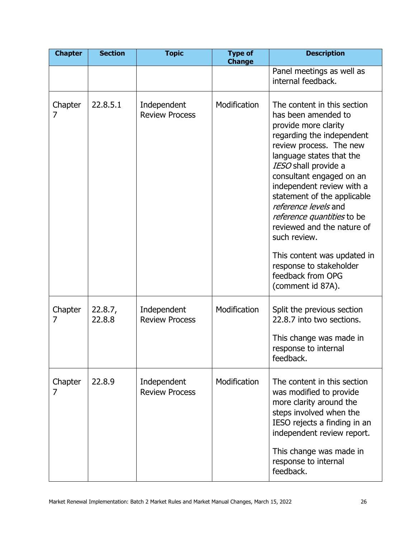| <b>Chapter</b> | <b>Section</b>    | <b>Topic</b>                         | <b>Type of</b><br><b>Change</b> | <b>Description</b>                                                                                                                                                                                                                                                                                                                                                                                                                                                                     |
|----------------|-------------------|--------------------------------------|---------------------------------|----------------------------------------------------------------------------------------------------------------------------------------------------------------------------------------------------------------------------------------------------------------------------------------------------------------------------------------------------------------------------------------------------------------------------------------------------------------------------------------|
|                |                   |                                      |                                 | Panel meetings as well as<br>internal feedback.                                                                                                                                                                                                                                                                                                                                                                                                                                        |
| Chapter<br>7   | 22.8.5.1          | Independent<br><b>Review Process</b> | Modification                    | The content in this section<br>has been amended to<br>provide more clarity<br>regarding the independent<br>review process. The new<br>language states that the<br>IESO shall provide a<br>consultant engaged on an<br>independent review with a<br>statement of the applicable<br>reference levels and<br>reference quantities to be<br>reviewed and the nature of<br>such review.<br>This content was updated in<br>response to stakeholder<br>feedback from OPG<br>(comment id 87A). |
| Chapter<br>7   | 22.8.7,<br>22.8.8 | Independent<br><b>Review Process</b> | Modification                    | Split the previous section<br>22.8.7 into two sections.<br>This change was made in<br>response to internal<br>feedback.                                                                                                                                                                                                                                                                                                                                                                |
| Chapter<br>7   | 22.8.9            | Independent<br><b>Review Process</b> | Modification                    | The content in this section<br>was modified to provide<br>more clarity around the<br>steps involved when the<br>IESO rejects a finding in an<br>independent review report.<br>This change was made in<br>response to internal<br>feedback.                                                                                                                                                                                                                                             |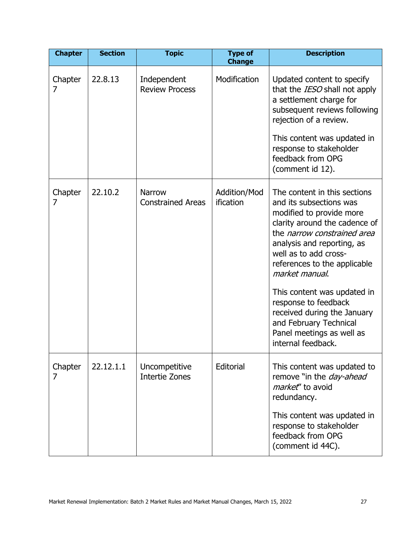| <b>Chapter</b> | <b>Section</b> | <b>Topic</b>                              | <b>Type of</b><br><b>Change</b> | <b>Description</b>                                                                                                                                                                                                                                                                                                                                                                                                                     |
|----------------|----------------|-------------------------------------------|---------------------------------|----------------------------------------------------------------------------------------------------------------------------------------------------------------------------------------------------------------------------------------------------------------------------------------------------------------------------------------------------------------------------------------------------------------------------------------|
| Chapter<br>7   | 22.8.13        | Independent<br><b>Review Process</b>      | Modification                    | Updated content to specify<br>that the IESO shall not apply<br>a settlement charge for<br>subsequent reviews following<br>rejection of a review.<br>This content was updated in<br>response to stakeholder<br>feedback from OPG<br>(comment id 12).                                                                                                                                                                                    |
| Chapter<br>7   | 22.10.2        | <b>Narrow</b><br><b>Constrained Areas</b> | Addition/Mod<br>ification       | The content in this sections<br>and its subsections was<br>modified to provide more<br>clarity around the cadence of<br>the <i>narrow constrained area</i><br>analysis and reporting, as<br>well as to add cross-<br>references to the applicable<br>market manual.<br>This content was updated in<br>response to feedback<br>received during the January<br>and February Technical<br>Panel meetings as well as<br>internal feedback. |
| Chapter<br>7   | 22.12.1.1      | Uncompetitive<br><b>Intertie Zones</b>    | Editorial                       | This content was updated to<br>remove "in the <i>day-ahead</i><br>market" to avoid<br>redundancy.<br>This content was updated in<br>response to stakeholder<br>feedback from OPG<br>(comment id 44C).                                                                                                                                                                                                                                  |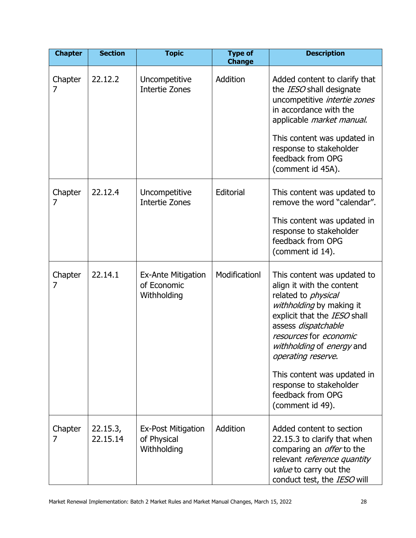| <b>Chapter</b> | <b>Section</b>       | <b>Topic</b>                                            | <b>Type of</b><br><b>Change</b> | <b>Description</b>                                                                                                                                                                                                                                                                                                                                        |
|----------------|----------------------|---------------------------------------------------------|---------------------------------|-----------------------------------------------------------------------------------------------------------------------------------------------------------------------------------------------------------------------------------------------------------------------------------------------------------------------------------------------------------|
| Chapter<br>7   | 22.12.2              | Uncompetitive<br><b>Intertie Zones</b>                  | Addition                        | Added content to clarify that<br>the IESO shall designate<br>uncompetitive intertie zones<br>in accordance with the<br>applicable market manual.<br>This content was updated in<br>response to stakeholder<br>feedback from OPG<br>(comment id 45A).                                                                                                      |
| Chapter<br>7   | 22.12.4              | Uncompetitive<br>Intertie Zones                         | Editorial                       | This content was updated to<br>remove the word "calendar".<br>This content was updated in<br>response to stakeholder<br>feedback from OPG<br>(comment id 14).                                                                                                                                                                                             |
| Chapter<br>7   | 22.14.1              | <b>Ex-Ante Mitigation</b><br>of Economic<br>Withholding | Modificationl                   | This content was updated to<br>align it with the content<br>related to <i>physical</i><br>withholding by making it<br>explicit that the IESO shall<br>assess dispatchable<br>resources for economic<br>withholding of energy and<br>operating reserve.<br>This content was updated in<br>response to stakeholder<br>feedback from OPG<br>(comment id 49). |
| Chapter<br>7   | 22.15.3,<br>22.15.14 | <b>Ex-Post Mitigation</b><br>of Physical<br>Withholding | Addition                        | Added content to section<br>22.15.3 to clarify that when<br>comparing an <i>offer</i> to the<br>relevant reference quantity<br>value to carry out the<br>conduct test, the IESO will                                                                                                                                                                      |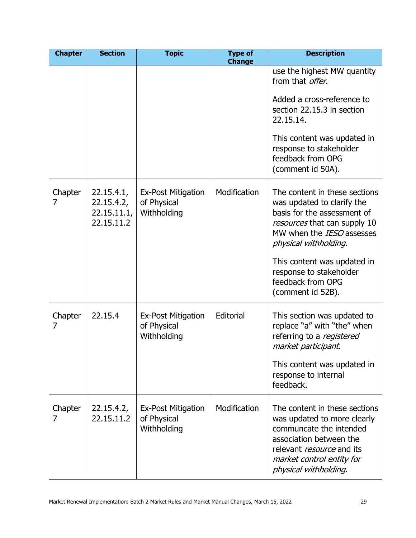| <b>Chapter</b> | <b>Section</b>                                        | <b>Topic</b>                                            | <b>Type of</b><br><b>Change</b> | <b>Description</b>                                                                                                                                                                                           |
|----------------|-------------------------------------------------------|---------------------------------------------------------|---------------------------------|--------------------------------------------------------------------------------------------------------------------------------------------------------------------------------------------------------------|
|                |                                                       |                                                         |                                 | use the highest MW quantity<br>from that <i>offer</i> .                                                                                                                                                      |
|                |                                                       |                                                         |                                 | Added a cross-reference to<br>section 22.15.3 in section<br>22.15.14.                                                                                                                                        |
|                |                                                       |                                                         |                                 | This content was updated in<br>response to stakeholder<br>feedback from OPG<br>(comment id 50A).                                                                                                             |
| Chapter<br>7   | 22.15.4.1,<br>22.15.4.2,<br>22.15.11.1,<br>22.15.11.2 | <b>Ex-Post Mitigation</b><br>of Physical<br>Withholding | Modification                    | The content in these sections<br>was updated to clarify the<br>basis for the assessment of<br>resources that can supply 10<br>MW when the <i>IESO</i> assesses<br>physical withholding.                      |
|                |                                                       |                                                         |                                 | This content was updated in<br>response to stakeholder<br>feedback from OPG<br>(comment id 52B).                                                                                                             |
| Chapter<br>7   | 22.15.4                                               | <b>Ex-Post Mitigation</b><br>of Physical<br>Withholding | Editorial                       | This section was updated to<br>replace "a" with "the" when<br>referring to a registered<br>market participant.                                                                                               |
|                |                                                       |                                                         |                                 | This content was updated in<br>response to internal<br>feedback.                                                                                                                                             |
| Chapter<br>7   | 22.15.4.2,<br>22.15.11.2                              | <b>Ex-Post Mitigation</b><br>of Physical<br>Withholding | Modification                    | The content in these sections<br>was updated to more clearly<br>communcate the intended<br>association between the<br>relevant <i>resource</i> and its<br>market control entity for<br>physical withholding. |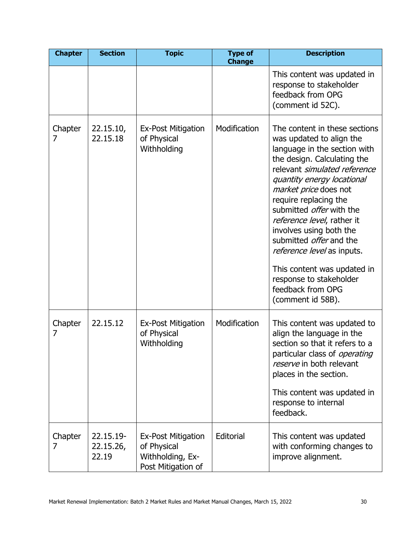| <b>Chapter</b> | <b>Section</b>                  | <b>Topic</b>                                                                       | <b>Type of</b><br><b>Change</b> | <b>Description</b>                                                                                                                                                                                                                                                                                                                                                                                                                                                                                       |
|----------------|---------------------------------|------------------------------------------------------------------------------------|---------------------------------|----------------------------------------------------------------------------------------------------------------------------------------------------------------------------------------------------------------------------------------------------------------------------------------------------------------------------------------------------------------------------------------------------------------------------------------------------------------------------------------------------------|
|                |                                 |                                                                                    |                                 | This content was updated in<br>response to stakeholder<br>feedback from OPG<br>(comment id 52C).                                                                                                                                                                                                                                                                                                                                                                                                         |
| Chapter<br>7   | 22.15.10,<br>22.15.18           | Ex-Post Mitigation<br>of Physical<br>Withholding                                   | Modification                    | The content in these sections<br>was updated to align the<br>language in the section with<br>the design. Calculating the<br>relevant simulated reference<br>quantity energy locational<br>market price does not<br>require replacing the<br>submitted <i>offer</i> with the<br>reference level, rather it<br>involves using both the<br>submitted <i>offer</i> and the<br>reference level as inputs.<br>This content was updated in<br>response to stakeholder<br>feedback from OPG<br>(comment id 58B). |
| Chapter<br>7   | 22.15.12                        | Ex-Post Mitigation<br>of Physical<br>Withholding                                   | Modification                    | This content was updated to<br>align the language in the<br>section so that it refers to a<br>particular class of <i>operating</i><br>reserve in both relevant<br>places in the section.<br>This content was updated in<br>response to internal<br>feedback.                                                                                                                                                                                                                                             |
| Chapter<br>7   | 22.15.19-<br>22.15.26,<br>22.19 | <b>Ex-Post Mitigation</b><br>of Physical<br>Withholding, Ex-<br>Post Mitigation of | Editorial                       | This content was updated<br>with conforming changes to<br>improve alignment.                                                                                                                                                                                                                                                                                                                                                                                                                             |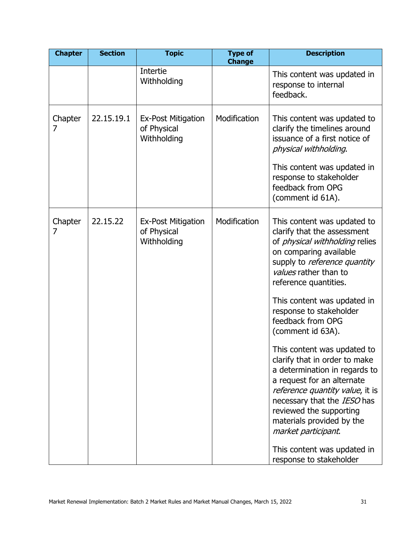| <b>Chapter</b> | <b>Section</b> | <b>Topic</b>                                            | <b>Type of</b><br><b>Change</b> | <b>Description</b>                                                                                                                                                                                                                                                           |
|----------------|----------------|---------------------------------------------------------|---------------------------------|------------------------------------------------------------------------------------------------------------------------------------------------------------------------------------------------------------------------------------------------------------------------------|
|                |                | Intertie<br>Withholding                                 |                                 | This content was updated in<br>response to internal<br>feedback.                                                                                                                                                                                                             |
| Chapter<br>7   | 22.15.19.1     | <b>Ex-Post Mitigation</b><br>of Physical<br>Withholding | Modification                    | This content was updated to<br>clarify the timelines around<br>issuance of a first notice of<br>physical withholding.<br>This content was updated in<br>response to stakeholder<br>feedback from OPG<br>(comment id 61A).                                                    |
| Chapter<br>7   | 22.15.22       | <b>Ex-Post Mitigation</b><br>of Physical<br>Withholding | Modification                    | This content was updated to<br>clarify that the assessment<br>of <i>physical withholding</i> relies<br>on comparing available<br>supply to <i>reference quantity</i><br>values rather than to<br>reference quantities.                                                       |
|                |                |                                                         |                                 | This content was updated in<br>response to stakeholder<br>feedback from OPG<br>(comment id 63A).                                                                                                                                                                             |
|                |                |                                                         |                                 | This content was updated to<br>clarify that in order to make<br>a determination in regards to<br>a request for an alternate<br>reference quantity value, it is<br>necessary that the IESO has<br>reviewed the supporting<br>materials provided by the<br>market participant. |
|                |                |                                                         |                                 | This content was updated in<br>response to stakeholder                                                                                                                                                                                                                       |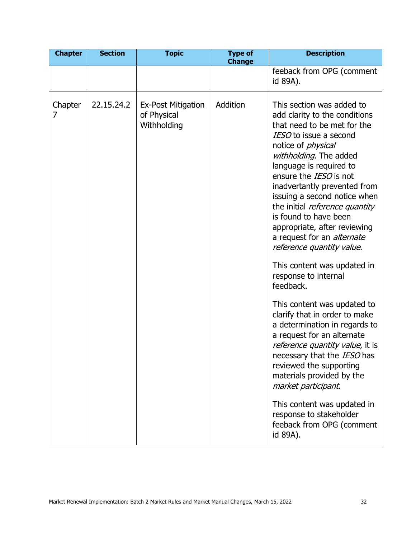| <b>Chapter</b> | <b>Section</b> | <b>Topic</b>                                            | <b>Type of</b><br><b>Change</b> | <b>Description</b>                                                                                                                                                                                                                                                                                                                                                                                                                                                                                                                                                                                                                                                                                                                                                                                                                                                                                                         |
|----------------|----------------|---------------------------------------------------------|---------------------------------|----------------------------------------------------------------------------------------------------------------------------------------------------------------------------------------------------------------------------------------------------------------------------------------------------------------------------------------------------------------------------------------------------------------------------------------------------------------------------------------------------------------------------------------------------------------------------------------------------------------------------------------------------------------------------------------------------------------------------------------------------------------------------------------------------------------------------------------------------------------------------------------------------------------------------|
|                |                |                                                         |                                 | feeback from OPG (comment<br>id 89A).                                                                                                                                                                                                                                                                                                                                                                                                                                                                                                                                                                                                                                                                                                                                                                                                                                                                                      |
| Chapter<br>7   | 22.15.24.2     | <b>Ex-Post Mitigation</b><br>of Physical<br>Withholding | Addition                        | This section was added to<br>add clarity to the conditions<br>that need to be met for the<br>IESO to issue a second<br>notice of <i>physical</i><br>withholding. The added<br>language is required to<br>ensure the <i>IESO</i> is not<br>inadvertantly prevented from<br>issuing a second notice when<br>the initial reference quantity<br>is found to have been<br>appropriate, after reviewing<br>a request for an <i>alternate</i><br>reference quantity value.<br>This content was updated in<br>response to internal<br>feedback.<br>This content was updated to<br>clarify that in order to make<br>a determination in regards to<br>a request for an alternate<br>reference quantity value, it is<br>necessary that the IESO has<br>reviewed the supporting<br>materials provided by the<br>market participant.<br>This content was updated in<br>response to stakeholder<br>feeback from OPG (comment<br>id 89A). |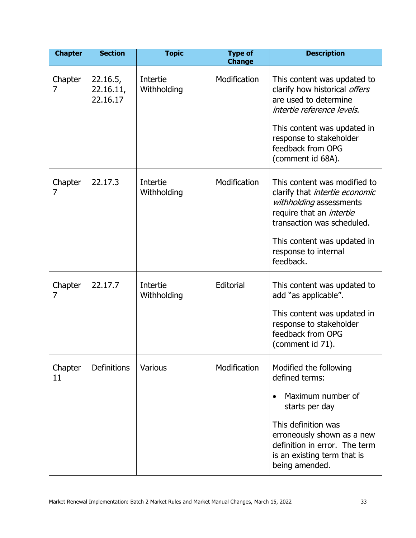| <b>Chapter</b> | <b>Section</b>                    | <b>Topic</b>            | <b>Type of</b><br><b>Change</b> | <b>Description</b>                                                                                                                                                                                                                    |
|----------------|-----------------------------------|-------------------------|---------------------------------|---------------------------------------------------------------------------------------------------------------------------------------------------------------------------------------------------------------------------------------|
| Chapter<br>7   | 22.16.5,<br>22.16.11,<br>22.16.17 | Intertie<br>Withholding | Modification                    | This content was updated to<br>clarify how historical offers<br>are used to determine<br>intertie reference levels.<br>This content was updated in<br>response to stakeholder<br>feedback from OPG<br>(comment id 68A).               |
| Chapter<br>7   | 22.17.3                           | Intertie<br>Withholding | Modification                    | This content was modified to<br>clarify that <i>intertie economic</i><br>withholding assessments<br>require that an <i>intertie</i><br>transaction was scheduled.<br>This content was updated in<br>response to internal<br>feedback. |
| Chapter<br>7   | 22.17.7                           | Intertie<br>Withholding | Editorial                       | This content was updated to<br>add "as applicable".<br>This content was updated in<br>response to stakeholder<br>feedback from OPG<br>(comment id 71).                                                                                |
| Chapter<br>11  | <b>Definitions</b>                | Various                 | Modification                    | Modified the following<br>defined terms:<br>Maximum number of<br>starts per day<br>This definition was<br>erroneously shown as a new<br>definition in error. The term<br>is an existing term that is<br>being amended.                |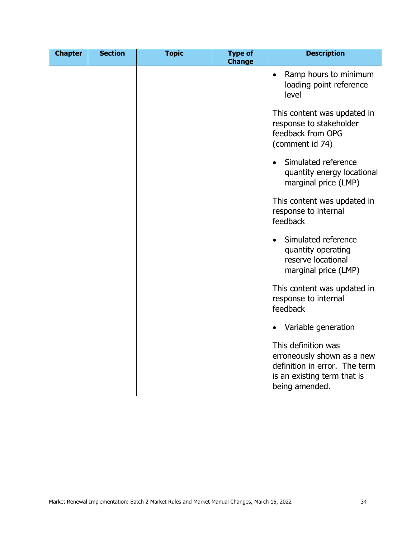| <b>Chapter</b> | <b>Section</b> | <b>Topic</b> | <b>Type of</b><br><b>Change</b> | <b>Description</b>                                                                                                                  |
|----------------|----------------|--------------|---------------------------------|-------------------------------------------------------------------------------------------------------------------------------------|
|                |                |              |                                 | Ramp hours to minimum<br>$\bullet$<br>loading point reference<br>level                                                              |
|                |                |              |                                 | This content was updated in<br>response to stakeholder<br>feedback from OPG<br>(comment id 74)                                      |
|                |                |              |                                 | Simulated reference<br>$\bullet$<br>quantity energy locational<br>marginal price (LMP)                                              |
|                |                |              |                                 | This content was updated in<br>response to internal<br>feedback                                                                     |
|                |                |              |                                 | Simulated reference<br>quantity operating<br>reserve locational<br>marginal price (LMP)                                             |
|                |                |              |                                 | This content was updated in<br>response to internal<br>feedback                                                                     |
|                |                |              |                                 | Variable generation<br>$\bullet$                                                                                                    |
|                |                |              |                                 | This definition was<br>erroneously shown as a new<br>definition in error. The term<br>is an existing term that is<br>being amended. |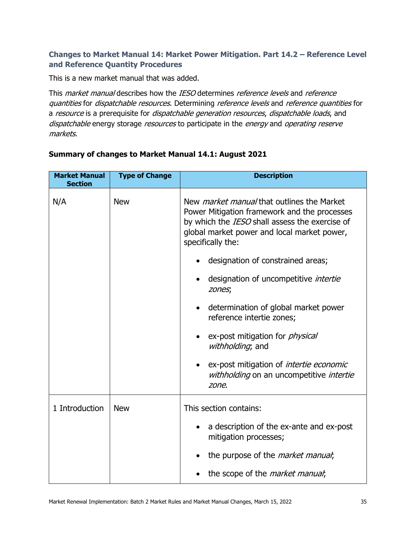#### **Changes to Market Manual 14: Market Power Mitigation. Part 14.2 – Reference Level and Reference Quantity Procedures**

This is a new market manual that was added.

This *market manual* describes how the *IESO* determines *reference levels* and *reference* quantities for dispatchable resources. Determining reference levels and reference quantities for a resource is a prerequisite for dispatchable generation resources, dispatchable loads, and dispatchable energy storage resources to participate in the energy and operating reserve markets.

| <b>Market Manual</b><br><b>Section</b> | <b>Type of Change</b> | <b>Description</b>                                                                                                                                                                                                      |  |
|----------------------------------------|-----------------------|-------------------------------------------------------------------------------------------------------------------------------------------------------------------------------------------------------------------------|--|
| N/A                                    | <b>New</b>            | New <i>market manual</i> that outlines the Market<br>Power Mitigation framework and the processes<br>by which the IESO shall assess the exercise of<br>global market power and local market power,<br>specifically the: |  |
|                                        |                       | designation of constrained areas;                                                                                                                                                                                       |  |
|                                        |                       | designation of uncompetitive <i>intertie</i><br>zones;                                                                                                                                                                  |  |
|                                        |                       | determination of global market power<br>reference intertie zones;                                                                                                                                                       |  |
|                                        |                       | ex-post mitigation for <i>physical</i><br>withholding; and                                                                                                                                                              |  |
|                                        |                       | ex-post mitigation of <i>intertie economic</i><br>withholding on an uncompetitive intertie<br>zone.                                                                                                                     |  |
| 1 Introduction                         | <b>New</b>            | This section contains:                                                                                                                                                                                                  |  |
|                                        |                       | a description of the ex-ante and ex-post<br>mitigation processes;                                                                                                                                                       |  |
|                                        |                       | the purpose of the <i>market manual</i> ;                                                                                                                                                                               |  |
|                                        |                       | the scope of the <i>market manual</i> ;                                                                                                                                                                                 |  |

#### **Summary of changes to Market Manual 14.1: August 2021**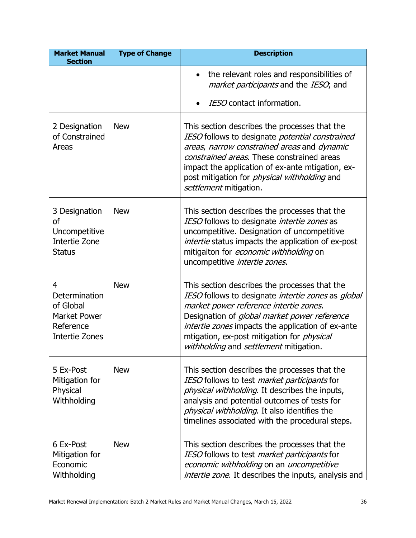| <b>Market Manual</b><br><b>Section</b>                                                              | <b>Type of Change</b> | <b>Description</b>                                                                                                                                                                                                                                                                                                                                       |
|-----------------------------------------------------------------------------------------------------|-----------------------|----------------------------------------------------------------------------------------------------------------------------------------------------------------------------------------------------------------------------------------------------------------------------------------------------------------------------------------------------------|
|                                                                                                     |                       | the relevant roles and responsibilities of<br>market participants and the IESO, and<br>IESO contact information.                                                                                                                                                                                                                                         |
| 2 Designation<br>of Constrained<br>Areas                                                            | <b>New</b>            | This section describes the processes that the<br>IESO follows to designate potential constrained<br>areas, narrow constrained areas and dynamic<br>constrained areas. These constrained areas<br>impact the application of ex-ante mtigation, ex-<br>post mitigation for <i>physical withholding</i> and<br>settlement mitigation.                       |
| 3 Designation<br>of<br>Uncompetitive<br>Intertie Zone<br><b>Status</b>                              | <b>New</b>            | This section describes the processes that the<br>IESO follows to designate intertie zones as<br>uncompetitive. Designation of uncompetitive<br>intertie status impacts the application of ex-post<br>mitigaiton for economic withholding on<br>uncompetitive intertie zones.                                                                             |
| 4<br><b>Determination</b><br>of Global<br><b>Market Power</b><br>Reference<br><b>Intertie Zones</b> | <b>New</b>            | This section describes the processes that the<br>IESO follows to designate intertie zones as global<br>market power reference intertie zones.<br>Designation of <i>global market power reference</i><br>intertie zones impacts the application of ex-ante<br>mtigation, ex-post mitigation for <i>physical</i><br>withholding and settlement mitigation. |
| 5 Ex-Post<br>Mitigation for<br>Physical<br>Withholding                                              | <b>New</b>            | This section describes the processes that the<br>IESO follows to test market participants for<br>physical withholding. It describes the inputs,<br>analysis and potential outcomes of tests for<br>physical withholding. It also identifies the<br>timelines associated with the procedural steps.                                                       |
| 6 Ex-Post<br>Mitigation for<br>Economic<br>Withholding                                              | <b>New</b>            | This section describes the processes that the<br>IESO follows to test market participants for<br>economic withholding on an uncompetitive<br>intertie zone. It describes the inputs, analysis and                                                                                                                                                        |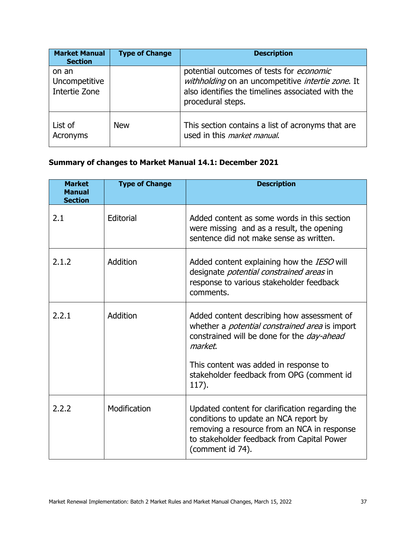| <b>Market Manual</b><br><b>Section</b>  | <b>Type of Change</b> | <b>Description</b>                                                                                                                                                      |
|-----------------------------------------|-----------------------|-------------------------------------------------------------------------------------------------------------------------------------------------------------------------|
| on an<br>Uncompetitive<br>Intertie Zone |                       | potential outcomes of tests for economic<br>withholding on an uncompetitive intertie zone. It<br>also identifies the timelines associated with the<br>procedural steps. |
| List of<br>Acronyms                     | <b>New</b>            | This section contains a list of acronyms that are<br>used in this market manual.                                                                                        |

# **Summary of changes to Market Manual 14.1: December 2021**

| <b>Market</b><br><b>Manual</b><br><b>Section</b> | <b>Type of Change</b> | <b>Description</b>                                                                                                                                                                                        |
|--------------------------------------------------|-----------------------|-----------------------------------------------------------------------------------------------------------------------------------------------------------------------------------------------------------|
| 2.1                                              | Editorial             | Added content as some words in this section<br>were missing and as a result, the opening<br>sentence did not make sense as written.                                                                       |
| 2.1.2                                            | Addition              | Added content explaining how the IESO will<br>designate <i>potential constrained areas</i> in<br>response to various stakeholder feedback<br>comments.                                                    |
| 2.2.1                                            | Addition              | Added content describing how assessment of<br>whether a <i>potential constrained area</i> is import<br>constrained will be done for the <i>day-ahead</i><br>market.                                       |
|                                                  |                       | This content was added in response to<br>stakeholder feedback from OPG (comment id<br>117).                                                                                                               |
| 2.2.2                                            | Modification          | Updated content for clarification regarding the<br>conditions to update an NCA report by<br>removing a resource from an NCA in response<br>to stakeholder feedback from Capital Power<br>(comment id 74). |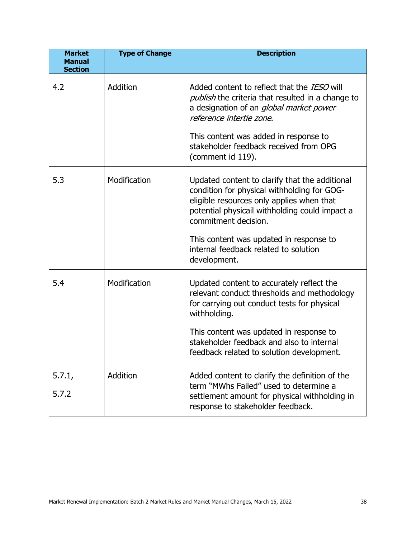| <b>Market</b><br><b>Manual</b><br><b>Section</b> | <b>Type of Change</b> | <b>Description</b>                                                                                                                                                                                                                                                                                                       |
|--------------------------------------------------|-----------------------|--------------------------------------------------------------------------------------------------------------------------------------------------------------------------------------------------------------------------------------------------------------------------------------------------------------------------|
| 4.2                                              | Addition              | Added content to reflect that the <i>IESO</i> will<br><i>publish</i> the criteria that resulted in a change to<br>a designation of an <i>global market power</i><br>reference intertie zone.<br>This content was added in response to<br>stakeholder feedback received from OPG<br>(comment id 119).                     |
| 5.3                                              | Modification          | Updated content to clarify that the additional<br>condition for physical withholding for GOG-<br>eligible resources only applies when that<br>potential physicail withholding could impact a<br>commitment decision.<br>This content was updated in response to<br>internal feedback related to solution<br>development. |
| 5.4                                              | Modification          | Updated content to accurately reflect the<br>relevant conduct thresholds and methodology<br>for carrying out conduct tests for physical<br>withholding.<br>This content was updated in response to<br>stakeholder feedback and also to internal<br>feedback related to solution development.                             |
| 5.7.1,<br>5.7.2                                  | Addition              | Added content to clarify the definition of the<br>term "MWhs Failed" used to determine a<br>settlement amount for physical withholding in<br>response to stakeholder feedback.                                                                                                                                           |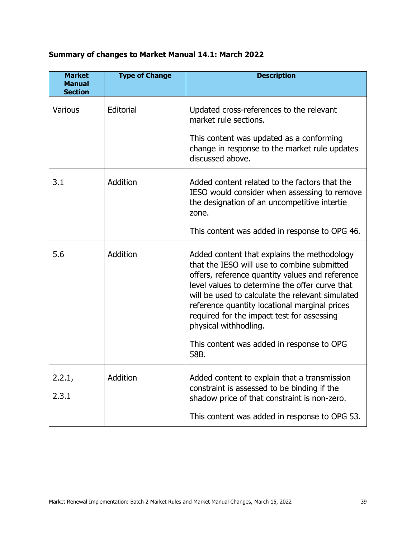## **Summary of changes to Market Manual 14.1: March 2022**

| <b>Market</b><br><b>Manual</b><br><b>Section</b> | <b>Type of Change</b> | <b>Description</b>                                                                                                                                                                                                                                                                                                                                                                                                               |
|--------------------------------------------------|-----------------------|----------------------------------------------------------------------------------------------------------------------------------------------------------------------------------------------------------------------------------------------------------------------------------------------------------------------------------------------------------------------------------------------------------------------------------|
| <b>Various</b>                                   | Editorial             | Updated cross-references to the relevant<br>market rule sections.<br>This content was updated as a conforming<br>change in response to the market rule updates<br>discussed above.                                                                                                                                                                                                                                               |
| 3.1                                              | Addition              | Added content related to the factors that the<br>IESO would consider when assessing to remove<br>the designation of an uncompetitive intertie<br>zone.<br>This content was added in response to OPG 46.                                                                                                                                                                                                                          |
| 5.6                                              | Addition              | Added content that explains the methodology<br>that the IESO will use to combine submitted<br>offers, reference quantity values and reference<br>level values to determine the offer curve that<br>will be used to calculate the relevant simulated<br>reference quantity locational marginal prices<br>required for the impact test for assessing<br>physical withhodling.<br>This content was added in response to OPG<br>58B. |
| 2.2.1,<br>2.3.1                                  | Addition              | Added content to explain that a transmission<br>constraint is assessed to be binding if the<br>shadow price of that constraint is non-zero.<br>This content was added in response to OPG 53.                                                                                                                                                                                                                                     |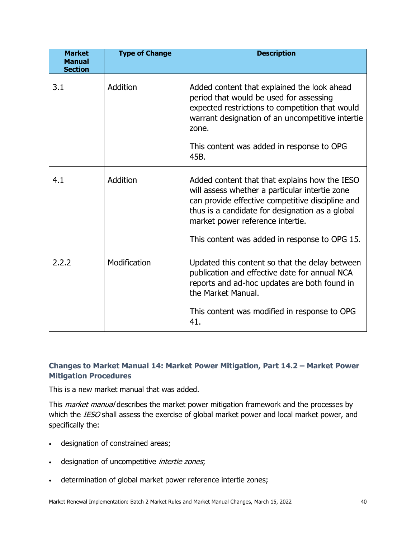| <b>Market</b><br><b>Manual</b><br><b>Section</b> | <b>Type of Change</b> | <b>Description</b>                                                                                                                                                                                                                         |
|--------------------------------------------------|-----------------------|--------------------------------------------------------------------------------------------------------------------------------------------------------------------------------------------------------------------------------------------|
| 3.1                                              | Addition              | Added content that explained the look ahead<br>period that would be used for assessing<br>expected restrictions to competition that would<br>warrant designation of an uncompetitive intertie<br>zone.                                     |
|                                                  |                       | This content was added in response to OPG<br>45B.                                                                                                                                                                                          |
| 4.1                                              | Addition              | Added content that that explains how the IESO<br>will assess whether a particular intertie zone<br>can provide effective competitive discipline and<br>thus is a candidate for designation as a global<br>market power reference intertie. |
|                                                  |                       | This content was added in response to OPG 15.                                                                                                                                                                                              |
| 2.2.2                                            | Modification          | Updated this content so that the delay between<br>publication and effective date for annual NCA<br>reports and ad-hoc updates are both found in<br>the Market Manual.                                                                      |
|                                                  |                       | This content was modified in response to OPG<br>41.                                                                                                                                                                                        |

#### **Changes to Market Manual 14: Market Power Mitigation, Part 14.2 – Market Power Mitigation Procedures**

This is a new market manual that was added.

This *market manual* describes the market power mitigation framework and the processes by which the IESO shall assess the exercise of global market power and local market power, and specifically the:

- designation of constrained areas;
- designation of uncompetitive *intertie zones*;
- determination of global market power reference intertie zones;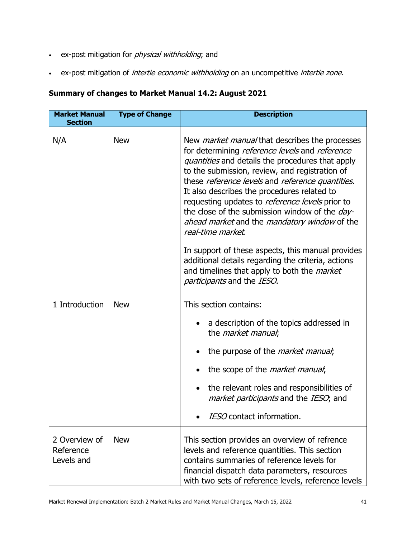- ex-post mitigation for *physical withholding*; and
- ex-post mitigation of *intertie economic withholding* on an uncompetitive *intertie zone*.

#### **Summary of changes to Market Manual 14.2: August 2021**

| <b>Market Manual</b><br><b>Section</b>   | <b>Type of Change</b> | <b>Description</b>                                                                                                                                                                                                                                                                                                                                                                                                                                                                                                                                                                                                                                                                                      |
|------------------------------------------|-----------------------|---------------------------------------------------------------------------------------------------------------------------------------------------------------------------------------------------------------------------------------------------------------------------------------------------------------------------------------------------------------------------------------------------------------------------------------------------------------------------------------------------------------------------------------------------------------------------------------------------------------------------------------------------------------------------------------------------------|
| N/A                                      | <b>New</b>            | New <i>market manual</i> that describes the processes<br>for determining reference levels and reference<br><i>quantities</i> and details the procedures that apply<br>to the submission, review, and registration of<br>these reference levels and reference quantities.<br>It also describes the procedures related to<br>requesting updates to reference levels prior to<br>the close of the submission window of the <i>day-</i><br>ahead market and the mandatory window of the<br>real-time market.<br>In support of these aspects, this manual provides<br>additional details regarding the criteria, actions<br>and timelines that apply to both the <i>market</i><br>participants and the IESO. |
| 1 Introduction                           | <b>New</b>            | This section contains:<br>a description of the topics addressed in<br>the <i>market manual</i> ;<br>the purpose of the <i>market manual</i> ;<br>the scope of the <i>market manual</i> ;<br>the relevant roles and responsibilities of<br>market participants and the IESO, and<br>IESO contact information.                                                                                                                                                                                                                                                                                                                                                                                            |
| 2 Overview of<br>Reference<br>Levels and | <b>New</b>            | This section provides an overview of refrence<br>levels and reference quantities. This section<br>contains summaries of reference levels for<br>financial dispatch data parameters, resources<br>with two sets of reference levels, reference levels                                                                                                                                                                                                                                                                                                                                                                                                                                                    |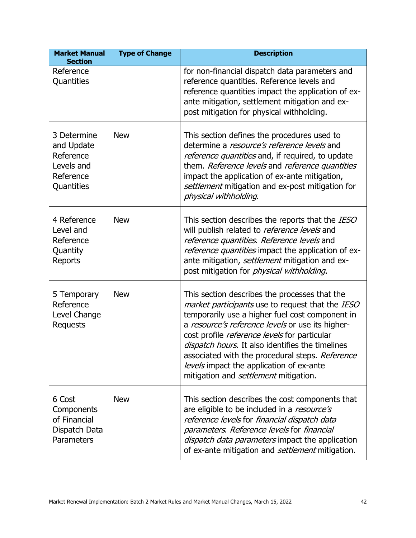| <b>Market Manual</b><br><b>Section</b>                                          | <b>Type of Change</b> | <b>Description</b>                                                                                                                                                                                                                                                                                                                                                                                                                                          |
|---------------------------------------------------------------------------------|-----------------------|-------------------------------------------------------------------------------------------------------------------------------------------------------------------------------------------------------------------------------------------------------------------------------------------------------------------------------------------------------------------------------------------------------------------------------------------------------------|
| Reference<br>Quantities                                                         |                       | for non-financial dispatch data parameters and<br>reference quantities. Reference levels and<br>reference quantities impact the application of ex-<br>ante mitigation, settlement mitigation and ex-<br>post mitigation for physical withholding.                                                                                                                                                                                                           |
| 3 Determine<br>and Update<br>Reference<br>Levels and<br>Reference<br>Quantities | <b>New</b>            | This section defines the procedures used to<br>determine a <i>resource's reference levels</i> and<br>reference quantities and, if required, to update<br>them. Reference levels and reference quantities<br>impact the application of ex-ante mitigation,<br>settlement mitigation and ex-post mitigation for<br>physical withholding.                                                                                                                      |
| 4 Reference<br>Level and<br>Reference<br>Quantity<br>Reports                    | <b>New</b>            | This section describes the reports that the IESO<br>will publish related to reference levels and<br>reference quantities. Reference levels and<br>reference quantities impact the application of ex-<br>ante mitigation, settlement mitigation and ex-<br>post mitigation for <i>physical withholding</i> .                                                                                                                                                 |
| 5 Temporary<br>Reference<br>Level Change<br>Requests                            | <b>New</b>            | This section describes the processes that the<br>market participants use to request that the IESO<br>temporarily use a higher fuel cost component in<br>a resource's reference levels or use its higher-<br>cost profile reference levels for particular<br>dispatch hours. It also identifies the timelines<br>associated with the procedural steps. Reference<br>levels impact the application of ex-ante<br>mitigation and <i>settlement</i> mitigation. |
| 6 Cost<br>Components<br>of Financial<br>Dispatch Data<br>Parameters             | <b>New</b>            | This section describes the cost components that<br>are eligible to be included in a resource's<br>reference levels for financial dispatch data<br>parameters. Reference levels for financial<br><i>dispatch data parameters</i> impact the application<br>of ex-ante mitigation and settlement mitigation.                                                                                                                                                  |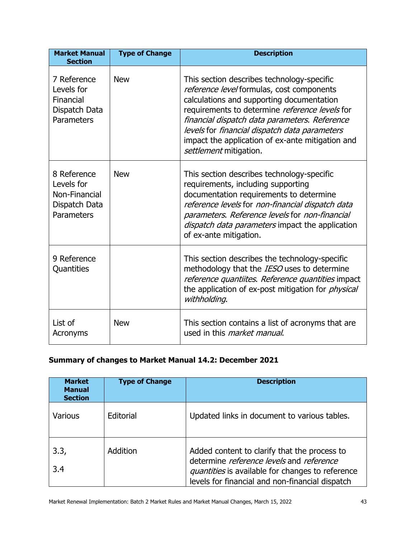| <b>Market Manual</b><br><b>Section</b>                                    | <b>Type of Change</b> | <b>Description</b>                                                                                                                                                                                                                                                                                                                                                     |
|---------------------------------------------------------------------------|-----------------------|------------------------------------------------------------------------------------------------------------------------------------------------------------------------------------------------------------------------------------------------------------------------------------------------------------------------------------------------------------------------|
| 7 Reference<br>Levels for<br>Financial<br>Dispatch Data<br>Parameters     | <b>New</b>            | This section describes technology-specific<br>reference level formulas, cost components<br>calculations and supporting documentation<br>requirements to determine reference levels for<br>financial dispatch data parameters. Reference<br>levels for financial dispatch data parameters<br>impact the application of ex-ante mitigation and<br>settlement mitigation. |
| 8 Reference<br>Levels for<br>Non-Financial<br>Dispatch Data<br>Parameters | <b>New</b>            | This section describes technology-specific<br>requirements, including supporting<br>documentation requirements to determine<br>reference levels for non-financial dispatch data<br>parameters. Reference levels for non-financial<br>dispatch data parameters impact the application<br>of ex-ante mitigation.                                                         |
| 9 Reference<br>Quantities                                                 |                       | This section describes the technology-specific<br>methodology that the IESO uses to determine<br>reference quantiites. Reference quantities impact<br>the application of ex-post mitigation for <i>physical</i><br>withholding.                                                                                                                                        |
| List of<br>Acronyms                                                       | <b>New</b>            | This section contains a list of acronyms that are<br>used in this <i>market manual</i> .                                                                                                                                                                                                                                                                               |

# **Summary of changes to Market Manual 14.2: December 2021**

| <b>Market</b><br><b>Manual</b><br><b>Section</b> | <b>Type of Change</b> | <b>Description</b>                                                                                                                                                                              |
|--------------------------------------------------|-----------------------|-------------------------------------------------------------------------------------------------------------------------------------------------------------------------------------------------|
| <b>Various</b>                                   | Editorial             | Updated links in document to various tables.                                                                                                                                                    |
| 3.3,<br>3.4                                      | Addition              | Added content to clarify that the process to<br>determine reference levels and reference<br>quantities is available for changes to reference<br>levels for financial and non-financial dispatch |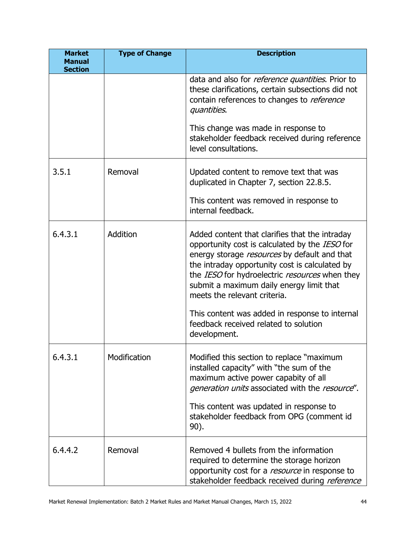| <b>Market</b><br><b>Manual</b><br><b>Section</b> | <b>Type of Change</b> | <b>Description</b>                                                                                                                                                                                                                                                                                                                                                                 |
|--------------------------------------------------|-----------------------|------------------------------------------------------------------------------------------------------------------------------------------------------------------------------------------------------------------------------------------------------------------------------------------------------------------------------------------------------------------------------------|
|                                                  |                       | data and also for <i>reference quantities</i> . Prior to<br>these clarifications, certain subsections did not<br>contain references to changes to reference<br><i>quantities.</i>                                                                                                                                                                                                  |
|                                                  |                       | This change was made in response to<br>stakeholder feedback received during reference<br>level consultations.                                                                                                                                                                                                                                                                      |
| 3.5.1                                            | Removal               | Updated content to remove text that was<br>duplicated in Chapter 7, section 22.8.5.                                                                                                                                                                                                                                                                                                |
|                                                  |                       | This content was removed in response to<br>internal feedback.                                                                                                                                                                                                                                                                                                                      |
| 6.4.3.1                                          | Addition              | Added content that clarifies that the intraday<br>opportunity cost is calculated by the IESO for<br>energy storage resources by default and that<br>the intraday opportunity cost is calculated by<br>the IESO for hydroelectric resources when they<br>submit a maximum daily energy limit that<br>meets the relevant criteria.<br>This content was added in response to internal |
|                                                  |                       | feedback received related to solution<br>development.                                                                                                                                                                                                                                                                                                                              |
| 6.4.3.1                                          | Modification          | Modified this section to replace "maximum"<br>installed capacity" with "the sum of the<br>maximum active power capabity of all<br>generation units associated with the resource".<br>This content was updated in response to<br>stakeholder feedback from OPG (comment id<br>90).                                                                                                  |
|                                                  |                       |                                                                                                                                                                                                                                                                                                                                                                                    |
| 6.4.4.2                                          | Removal               | Removed 4 bullets from the information<br>required to determine the storage horizon<br>opportunity cost for a resource in response to<br>stakeholder feedback received during reference                                                                                                                                                                                            |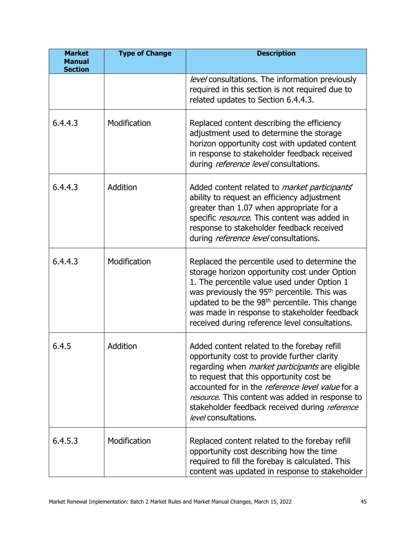| <b>Market</b><br><b>Manual</b><br><b>Section</b> | <b>Type of Change</b> | <b>Description</b>                                                                                                                                                                                                                                                                                                                                                                       |
|--------------------------------------------------|-----------------------|------------------------------------------------------------------------------------------------------------------------------------------------------------------------------------------------------------------------------------------------------------------------------------------------------------------------------------------------------------------------------------------|
|                                                  |                       | level consultations. The information previously<br>required in this section is not required due to<br>related updates to Section 6.4.4.3.                                                                                                                                                                                                                                                |
| 6.4.4.3                                          | Modification          | Replaced content describing the efficiency<br>adjustment used to determine the storage<br>horizon opportunity cost with updated content<br>in response to stakeholder feedback received<br>during reference level consultations.                                                                                                                                                         |
| 6.4.4.3                                          | Addition              | Added content related to <i>market participants</i><br>ability to request an efficiency adjustment<br>greater than 1.07 when appropriate for a<br>specific resource. This content was added in<br>response to stakeholder feedback received<br>during <i>reference level</i> consultations.                                                                                              |
| 6.4.4.3                                          | Modification          | Replaced the percentile used to determine the<br>storage horizon opportunity cost under Option<br>1. The percentile value used under Option 1<br>was previously the 95 <sup>th</sup> percentile. This was<br>updated to be the 98 <sup>th</sup> percentile. This change<br>was made in response to stakeholder feedback<br>received during reference level consultations.                |
| 6.4.5                                            | Addition              | Added content related to the forebay refill<br>opportunity cost to provide further clarity<br>regarding when <i>market participants</i> are eligible<br>to request that this opportunity cost be<br>accounted for in the <i>reference level value</i> for a<br>resource. This content was added in response to<br>stakeholder feedback received during reference<br>level consultations. |
| 6.4.5.3                                          | Modification          | Replaced content related to the forebay refill<br>opportunity cost describing how the time<br>required to fill the forebay is calculated. This<br>content was updated in response to stakeholder                                                                                                                                                                                         |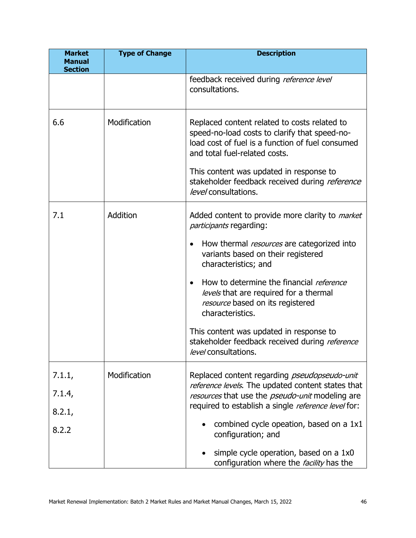| <b>Market</b><br><b>Manual</b><br><b>Section</b> | <b>Type of Change</b> | <b>Description</b>                                                                                                                                                                                                                                                                                                                                                                                                                                                                                       |
|--------------------------------------------------|-----------------------|----------------------------------------------------------------------------------------------------------------------------------------------------------------------------------------------------------------------------------------------------------------------------------------------------------------------------------------------------------------------------------------------------------------------------------------------------------------------------------------------------------|
|                                                  |                       | feedback received during reference level<br>consultations.                                                                                                                                                                                                                                                                                                                                                                                                                                               |
| 6.6                                              | Modification          | Replaced content related to costs related to<br>speed-no-load costs to clarify that speed-no-<br>load cost of fuel is a function of fuel consumed<br>and total fuel-related costs.<br>This content was updated in response to<br>stakeholder feedback received during reference<br>level consultations.                                                                                                                                                                                                  |
| 7.1                                              | Addition              | Added content to provide more clarity to <i>market</i><br><i>participants</i> regarding:<br>How thermal <i>resources</i> are categorized into<br>$\bullet$<br>variants based on their registered<br>characteristics; and<br>How to determine the financial reference<br>$\bullet$<br>levels that are required for a thermal<br>resource based on its registered<br>characteristics.<br>This content was updated in response to<br>stakeholder feedback received during reference<br>level consultations. |
| 7.1.1,<br>7.1.4,<br>8.2.1,<br>8.2.2              | Modification          | Replaced content regarding <i>pseudopseudo-unit</i><br>reference levels. The updated content states that<br>resources that use the <i>pseudo-unit</i> modeling are<br>required to establish a single reference level for:<br>combined cycle opeation, based on a 1x1<br>configuration; and<br>simple cycle operation, based on a 1x0<br>$\bullet$<br>configuration where the <i>facility</i> has the                                                                                                     |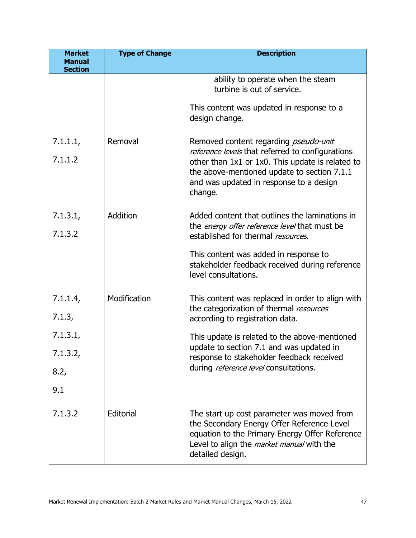| <b>Market</b><br><b>Manual</b><br><b>Section</b> | <b>Type of Change</b> | <b>Description</b>                                                                                                                                                                                                 |
|--------------------------------------------------|-----------------------|--------------------------------------------------------------------------------------------------------------------------------------------------------------------------------------------------------------------|
|                                                  |                       | ability to operate when the steam<br>turbine is out of service.                                                                                                                                                    |
|                                                  |                       | This content was updated in response to a<br>design change.                                                                                                                                                        |
| 7.1.1.1,                                         | Removal               | Removed content regarding <i>pseudo-unit</i><br>reference levels that referred to configurations                                                                                                                   |
| 7.1.1.2                                          |                       | other than 1x1 or 1x0. This update is related to<br>the above-mentioned update to section 7.1.1<br>and was updated in response to a design<br>change.                                                              |
| 7.1.3.1,                                         | Addition              | Added content that outlines the laminations in<br>the <i>energy offer reference level</i> that must be                                                                                                             |
| 7.1.3.2                                          |                       | established for thermal resources.                                                                                                                                                                                 |
|                                                  |                       | This content was added in response to<br>stakeholder feedback received during reference<br>level consultations.                                                                                                    |
| 7.1.1.4                                          | Modification          | This content was replaced in order to align with<br>the categorization of thermal resources                                                                                                                        |
| 7.1.3,                                           |                       | according to registration data.                                                                                                                                                                                    |
| 7.1.3.1,                                         |                       | This update is related to the above-mentioned<br>update to section 7.1 and was updated in                                                                                                                          |
| 7.1.3.2,                                         |                       | response to stakeholder feedback received<br>during reference level consultations.                                                                                                                                 |
| 8.2,                                             |                       |                                                                                                                                                                                                                    |
| 9.1                                              |                       |                                                                                                                                                                                                                    |
| 7.1.3.2                                          | Editorial             | The start up cost parameter was moved from<br>the Secondary Energy Offer Reference Level<br>equation to the Primary Energy Offer Reference<br>Level to align the <i>market manual</i> with the<br>detailed design. |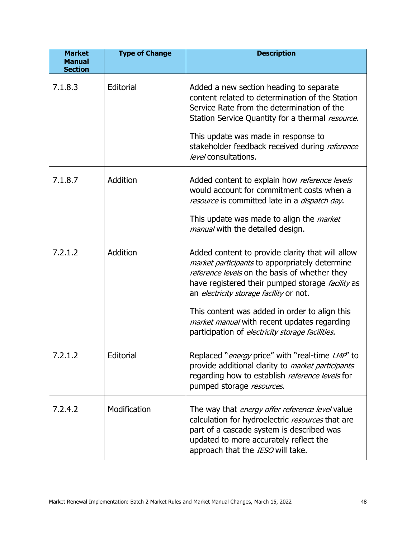| <b>Market</b><br><b>Manual</b><br><b>Section</b> | <b>Type of Change</b> | <b>Description</b>                                                                                                                                                                                                                                                                                                                                                                                            |
|--------------------------------------------------|-----------------------|---------------------------------------------------------------------------------------------------------------------------------------------------------------------------------------------------------------------------------------------------------------------------------------------------------------------------------------------------------------------------------------------------------------|
| 7.1.8.3                                          | Editorial             | Added a new section heading to separate<br>content related to determination of the Station<br>Service Rate from the determination of the<br>Station Service Quantity for a thermal resource.<br>This update was made in response to<br>stakeholder feedback received during reference<br>level consultations.                                                                                                 |
| 7.1.8.7                                          | Addition              | Added content to explain how reference levels<br>would account for commitment costs when a<br>resource is committed late in a dispatch day.<br>This update was made to align the <i>market</i><br>manual with the detailed design.                                                                                                                                                                            |
| 7.2.1.2                                          | Addition              | Added content to provide clarity that will allow<br>market participants to apporpriately determine<br>reference levels on the basis of whether they<br>have registered their pumped storage <i>facility</i> as<br>an electricity storage facility or not.<br>This content was added in order to align this<br>market manual with recent updates regarding<br>participation of electricity storage facilities. |
| 7.2.1.2                                          | Editorial             | Replaced " <i>energy</i> price" with "real-time <i>LMP</i> " to<br>provide additional clarity to <i>market participants</i><br>regarding how to establish reference levels for<br>pumped storage resources.                                                                                                                                                                                                   |
| 7.2.4.2                                          | Modification          | The way that <i>energy offer reference level</i> value<br>calculation for hydroelectric resources that are<br>part of a cascade system is described was<br>updated to more accurately reflect the<br>approach that the IESO will take.                                                                                                                                                                        |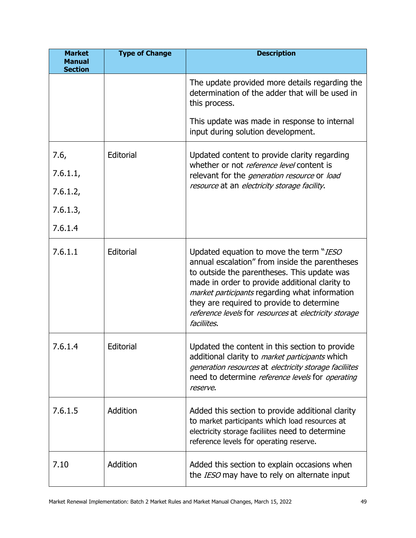| <b>Market</b><br><b>Manual</b><br><b>Section</b> | <b>Type of Change</b> | <b>Description</b>                                                                                                                                                                                                                                                                                                                                                |
|--------------------------------------------------|-----------------------|-------------------------------------------------------------------------------------------------------------------------------------------------------------------------------------------------------------------------------------------------------------------------------------------------------------------------------------------------------------------|
|                                                  |                       | The update provided more details regarding the<br>determination of the adder that will be used in<br>this process.                                                                                                                                                                                                                                                |
|                                                  |                       | This update was made in response to internal<br>input during solution development.                                                                                                                                                                                                                                                                                |
| 7.6,                                             | Editorial             | Updated content to provide clarity regarding                                                                                                                                                                                                                                                                                                                      |
| 7.6.1.1,                                         |                       | whether or not <i>reference level</i> content is<br>relevant for the <i>generation resource</i> or <i>load</i>                                                                                                                                                                                                                                                    |
| 7.6.1.2,                                         |                       | resource at an electricity storage facility.                                                                                                                                                                                                                                                                                                                      |
| 7.6.1.3,                                         |                       |                                                                                                                                                                                                                                                                                                                                                                   |
| 7.6.1.4                                          |                       |                                                                                                                                                                                                                                                                                                                                                                   |
| 7.6.1.1                                          | Editorial             | Updated equation to move the term "IESO<br>annual escalation" from inside the parentheses<br>to outside the parentheses. This update was<br>made in order to provide additional clarity to<br>market participants regarding what information<br>they are required to provide to determine<br>reference levels for resources at electricity storage<br>faciliites. |
| 7.6.1.4                                          | Editorial             | Updated the content in this section to provide<br>additional clarity to <i>market participants</i> which<br>generation resources at electricity storage faciliites<br>need to determine reference levels for operating<br>reserve.                                                                                                                                |
| 7.6.1.5                                          | Addition              | Added this section to provide additional clarity<br>to market participants which load resources at<br>electricity storage faciliites need to determine<br>reference levels for operating reserve.                                                                                                                                                                 |
| 7.10                                             | Addition              | Added this section to explain occasions when<br>the IESO may have to rely on alternate input                                                                                                                                                                                                                                                                      |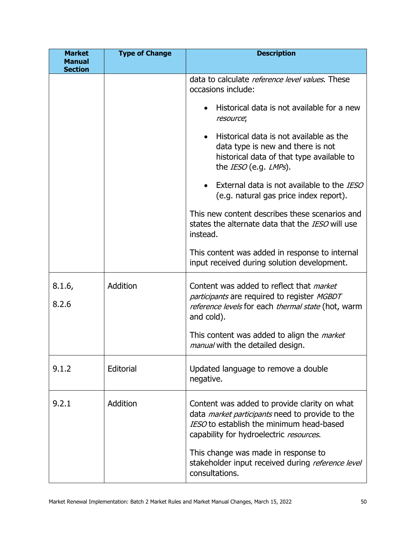| <b>Market</b><br><b>Manual</b> | <b>Type of Change</b> | <b>Description</b>                                                                                                                                                                            |
|--------------------------------|-----------------------|-----------------------------------------------------------------------------------------------------------------------------------------------------------------------------------------------|
| <b>Section</b>                 |                       |                                                                                                                                                                                               |
|                                |                       | data to calculate reference level values. These<br>occasions include:                                                                                                                         |
|                                |                       | Historical data is not available for a new<br>resource;                                                                                                                                       |
|                                |                       | Historical data is not available as the<br>$\bullet$<br>data type is new and there is not<br>historical data of that type available to<br>the IESO (e.g. LMPs).                               |
|                                |                       | • External data is not available to the IESO<br>(e.g. natural gas price index report).                                                                                                        |
|                                |                       | This new content describes these scenarios and<br>states the alternate data that the IESO will use<br>instead.                                                                                |
|                                |                       | This content was added in response to internal<br>input received during solution development.                                                                                                 |
| 8.1.6,<br>8.2.6                | Addition              | Content was added to reflect that <i>market</i><br>participants are required to register MGBDT<br>reference levels for each thermal state (hot, warm<br>and cold).                            |
|                                |                       | This content was added to align the <i>market</i><br><i>manual</i> with the detailed design.                                                                                                  |
| 9.1.2                          | Editorial             | Updated language to remove a double<br>negative.                                                                                                                                              |
| 9.2.1                          | Addition              | Content was added to provide clarity on what<br>data <i>market participants</i> need to provide to the<br>IESO to establish the minimum head-based<br>capability for hydroelectric resources. |
|                                |                       | This change was made in response to<br>stakeholder input received during reference level<br>consultations.                                                                                    |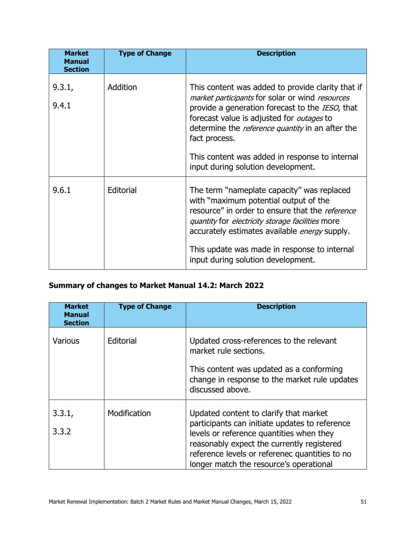| <b>Market</b><br><b>Manual</b><br><b>Section</b> | <b>Type of Change</b> | <b>Description</b>                                                                                                                                                                                                                                                                                                                                                              |
|--------------------------------------------------|-----------------------|---------------------------------------------------------------------------------------------------------------------------------------------------------------------------------------------------------------------------------------------------------------------------------------------------------------------------------------------------------------------------------|
| 9.3.1,<br>9.4.1                                  | Addition              | This content was added to provide clarity that if<br>market participants for solar or wind resources<br>provide a generation forecast to the IESO, that<br>forecast value is adjusted for <i>outages</i> to<br>determine the <i>reference quantity</i> in an after the<br>fact process.<br>This content was added in response to internal<br>input during solution development. |
| 9.6.1                                            | Editorial             | The term "nameplate capacity" was replaced<br>with "maximum potential output of the<br>resource" in order to ensure that the <i>reference</i><br><i>quantity</i> for <i>electricity storage facilities</i> more<br>accurately estimates available <i>energy</i> supply.<br>This update was made in response to internal<br>input during solution development.                   |

## **Summary of changes to Market Manual 14.2: March 2022**

| <b>Market</b><br><b>Manual</b><br><b>Section</b> | <b>Type of Change</b> | <b>Description</b>                                                                                                                                                                                                                                                              |
|--------------------------------------------------|-----------------------|---------------------------------------------------------------------------------------------------------------------------------------------------------------------------------------------------------------------------------------------------------------------------------|
| <b>Various</b>                                   | Editorial             | Updated cross-references to the relevant<br>market rule sections.<br>This content was updated as a conforming<br>change in response to the market rule updates<br>discussed above.                                                                                              |
| 3.3.1,<br>3.3.2                                  | Modification          | Updated content to clarify that market<br>participants can initiate updates to reference<br>levels or reference quantities when they<br>reasonably expect the currently registered<br>reference levels or referenec quantities to no<br>longer match the resource's operational |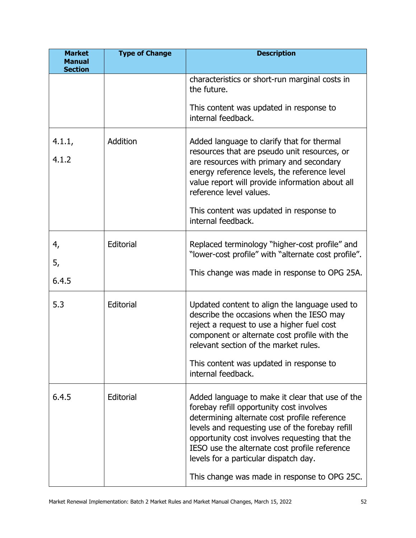| <b>Market</b><br><b>Manual</b> | <b>Type of Change</b> | <b>Description</b>                                                                                                                                                                                                                                                                                                                                                                        |
|--------------------------------|-----------------------|-------------------------------------------------------------------------------------------------------------------------------------------------------------------------------------------------------------------------------------------------------------------------------------------------------------------------------------------------------------------------------------------|
| <b>Section</b>                 |                       | characteristics or short-run marginal costs in<br>the future.                                                                                                                                                                                                                                                                                                                             |
|                                |                       | This content was updated in response to<br>internal feedback.                                                                                                                                                                                                                                                                                                                             |
| 4.1.1,<br>4.1.2                | Addition              | Added language to clarify that for thermal<br>resources that are pseudo unit resources, or<br>are resources with primary and secondary<br>energy reference levels, the reference level<br>value report will provide information about all<br>reference level values.<br>This content was updated in response to<br>internal feedback.                                                     |
| 4,<br>5,<br>6.4.5              | Editorial             | Replaced terminology "higher-cost profile" and<br>"lower-cost profile" with "alternate cost profile".<br>This change was made in response to OPG 25A.                                                                                                                                                                                                                                     |
| 5.3                            | Editorial             | Updated content to align the language used to<br>describe the occasions when the IESO may<br>reject a request to use a higher fuel cost<br>component or alternate cost profile with the<br>relevant section of the market rules.<br>This content was updated in response to<br>internal feedback.                                                                                         |
| 6.4.5                          | Editorial             | Added language to make it clear that use of the<br>forebay refill opportunity cost involves<br>determining alternate cost profile reference<br>levels and requesting use of the forebay refill<br>opportunity cost involves requesting that the<br>IESO use the alternate cost profile reference<br>levels for a particular dispatch day.<br>This change was made in response to OPG 25C. |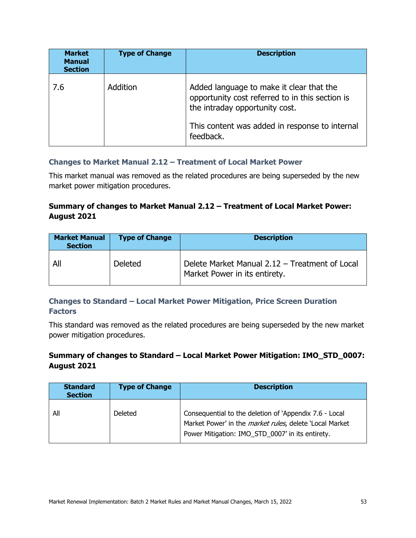| <b>Market</b><br><b>Manual</b><br><b>Section</b> | <b>Type of Change</b> | <b>Description</b>                                                                                                                                                                           |
|--------------------------------------------------|-----------------------|----------------------------------------------------------------------------------------------------------------------------------------------------------------------------------------------|
| 7.6                                              | Addition              | Added language to make it clear that the<br>opportunity cost referred to in this section is<br>the intraday opportunity cost.<br>This content was added in response to internal<br>feedback. |

#### **Changes to Market Manual 2.12 – Treatment of Local Market Power**

This market manual was removed as the related procedures are being superseded by the new market power mitigation procedures.

#### **Summary of changes to Market Manual 2.12 – Treatment of Local Market Power: August 2021**

| <b>Market Manual</b><br><b>Section</b> | <b>Type of Change</b> | <b>Description</b>                                                              |
|----------------------------------------|-----------------------|---------------------------------------------------------------------------------|
| All                                    | <b>Deleted</b>        | Delete Market Manual 2.12 - Treatment of Local<br>Market Power in its entirety. |

#### **Changes to Standard – Local Market Power Mitigation, Price Screen Duration Factors**

This standard was removed as the related procedures are being superseded by the new market power mitigation procedures.

#### **Summary of changes to Standard – Local Market Power Mitigation: IMO\_STD\_0007: August 2021**

| <b>Standard</b><br><b>Section</b> | <b>Type of Change</b> | <b>Description</b>                                                                                                                                                            |
|-----------------------------------|-----------------------|-------------------------------------------------------------------------------------------------------------------------------------------------------------------------------|
| All                               | Deleted               | Consequential to the deletion of 'Appendix 7.6 - Local<br>Market Power' in the <i>market rules</i> , delete 'Local Market<br>Power Mitigation: IMO_STD_0007' in its entirety. |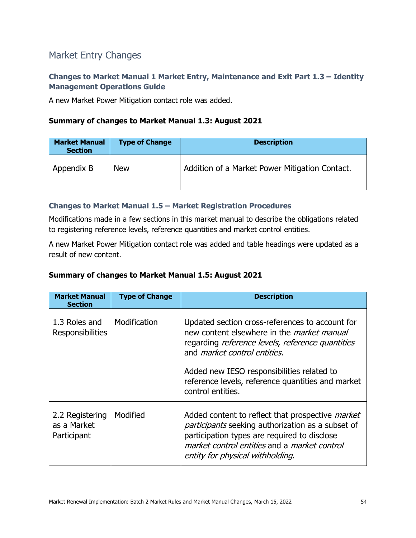# Market Entry Changes

#### **Changes to Market Manual 1 Market Entry, Maintenance and Exit Part 1.3 – Identity Management Operations Guide**

A new Market Power Mitigation contact role was added.

#### **Summary of changes to Market Manual 1.3: August 2021**

| <b>Market Manual</b><br><b>Section</b> | <b>Type of Change</b> | <b>Description</b>                             |
|----------------------------------------|-----------------------|------------------------------------------------|
| Appendix B                             | <b>New</b>            | Addition of a Market Power Mitigation Contact. |

#### **Changes to Market Manual 1.5 – Market Registration Procedures**

Modifications made in a few sections in this market manual to describe the obligations related to registering reference levels, reference quantities and market control entities.

A new Market Power Mitigation contact role was added and table headings were updated as a result of new content.

#### **Summary of changes to Market Manual 1.5: August 2021**

| <b>Market Manual</b><br><b>Section</b>        | <b>Type of Change</b> | <b>Description</b>                                                                                                                                                                                                                                                                                                       |
|-----------------------------------------------|-----------------------|--------------------------------------------------------------------------------------------------------------------------------------------------------------------------------------------------------------------------------------------------------------------------------------------------------------------------|
| 1.3 Roles and<br><b>Responsibilities</b>      | Modification          | Updated section cross-references to account for<br>new content elsewhere in the <i>market manual</i><br>regarding reference levels, reference quantities<br>and <i>market control entities</i> .<br>Added new IESO responsibilities related to<br>reference levels, reference quantities and market<br>control entities. |
| 2.2 Registering<br>as a Market<br>Participant | Modified              | Added content to reflect that prospective <i>market</i><br>participants seeking authorization as a subset of<br>participation types are required to disclose<br>market control entities and a market control<br>entity for physical withholding.                                                                         |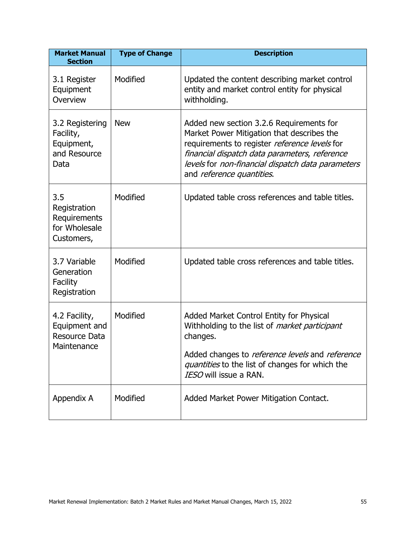| <b>Market Manual</b><br><b>Section</b>                             | <b>Type of Change</b> | <b>Description</b>                                                                                                                                                                                                                                                         |
|--------------------------------------------------------------------|-----------------------|----------------------------------------------------------------------------------------------------------------------------------------------------------------------------------------------------------------------------------------------------------------------------|
| 3.1 Register<br>Equipment<br>Overview                              | Modified              | Updated the content describing market control<br>entity and market control entity for physical<br>withholding.                                                                                                                                                             |
| 3.2 Registering<br>Facility,<br>Equipment,<br>and Resource<br>Data | <b>New</b>            | Added new section 3.2.6 Requirements for<br>Market Power Mitigation that describes the<br>requirements to register reference levels for<br>financial dispatch data parameters, reference<br>levels for non-financial dispatch data parameters<br>and reference quantities. |
| 3.5<br>Registration<br>Requirements<br>for Wholesale<br>Customers, | Modified              | Updated table cross references and table titles.                                                                                                                                                                                                                           |
| 3.7 Variable<br>Generation<br>Facility<br>Registration             | Modified              | Updated table cross references and table titles.                                                                                                                                                                                                                           |
| 4.2 Facility,<br>Equipment and<br>Resource Data<br>Maintenance     | Modified              | Added Market Control Entity for Physical<br>Withholding to the list of <i>market participant</i><br>changes.<br>Added changes to reference levels and reference<br>quantities to the list of changes for which the<br>IESO will issue a RAN.                               |
| Appendix A                                                         | Modified              | Added Market Power Mitigation Contact.                                                                                                                                                                                                                                     |